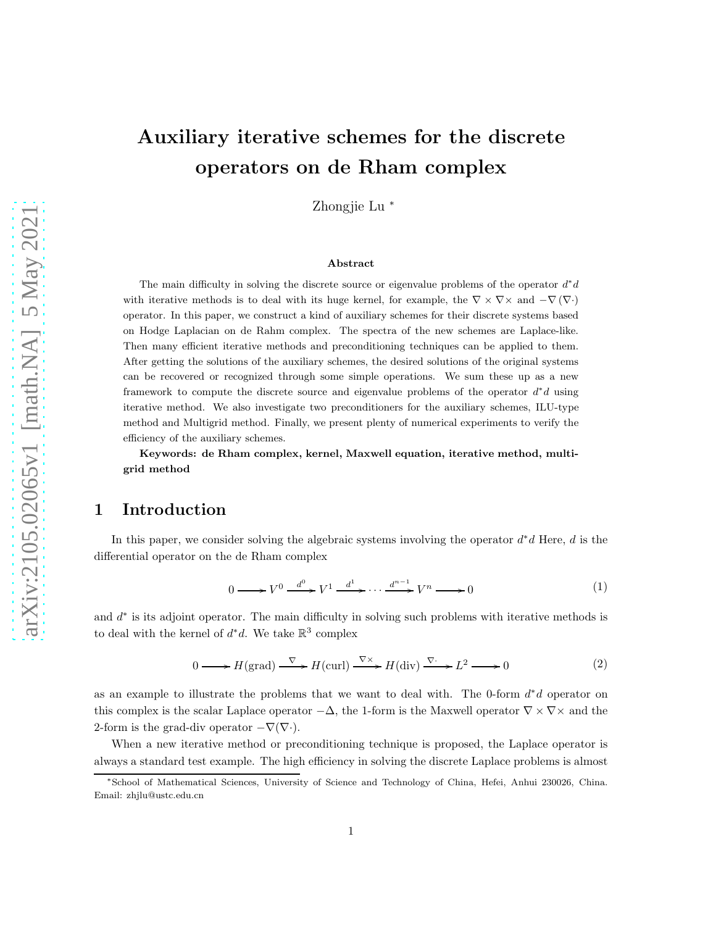Zhongjie Lu <sup>∗</sup>

#### Abstract

The main difficulty in solving the discrete source or eigenvalue problems of the operator  $d^*d$ with iterative methods is to deal with its huge kernel, for example, the  $\nabla \times \nabla \times$  and  $-\nabla (\nabla \cdot)$ operator. In this paper, we construct a kind of auxiliary schemes for their discrete systems based on Hodge Laplacian on de Rahm complex. The spectra of the new schemes are Laplace-like. Then many efficient iterative methods and preconditioning techniques can be applied to them. After getting the solutions of the auxiliary schemes, the desired solutions of the original systems can be recovered or recognized through some simple operations. We sum these up as a new framework to compute the discrete source and eigenvalue problems of the operator  $d^*d$  using iterative method. We also investigate two preconditioners for the auxiliary schemes, ILU-type method and Multigrid method. Finally, we present plenty of numerical experiments to verify the efficiency of the auxiliary schemes.

Keywords: de Rham complex, kernel, Maxwell equation, iterative method, multigrid method

# 1 Introduction

In this paper, we consider solving the algebraic systems involving the operator  $d^*d$  Here, d is the differential operator on the de Rham complex

$$
0 \longrightarrow V^{0} \xrightarrow{d^{0}} V^{1} \xrightarrow{d^{1}} \cdots \xrightarrow{d^{n-1}} V^{n} \longrightarrow 0
$$
\n
$$
(1)
$$

and  $d^*$  is its adjoint operator. The main difficulty in solving such problems with iterative methods is to deal with the kernel of  $d^*d$ . We take  $\mathbb{R}^3$  complex

$$
0 \longrightarrow H(\text{grad}) \xrightarrow{\nabla} H(\text{curl}) \xrightarrow{\nabla \times} H(\text{div}) \xrightarrow{\nabla \cdot} L^2 \longrightarrow 0
$$
 (2)

as an example to illustrate the problems that we want to deal with. The 0-form  $d^*d$  operator on this complex is the scalar Laplace operator  $-\Delta$ , the 1-form is the Maxwell operator  $\nabla \times \nabla \times$  and the 2-form is the grad-div operator  $-\nabla(\nabla \cdot)$ .

When a new iterative method or preconditioning technique is proposed, the Laplace operator is always a standard test example. The high efficiency in solving the discrete Laplace problems is almost

<sup>∗</sup>School of Mathematical Sciences, University of Science and Technology of China, Hefei, Anhui 230026, China. Email: zhjlu@ustc.edu.cn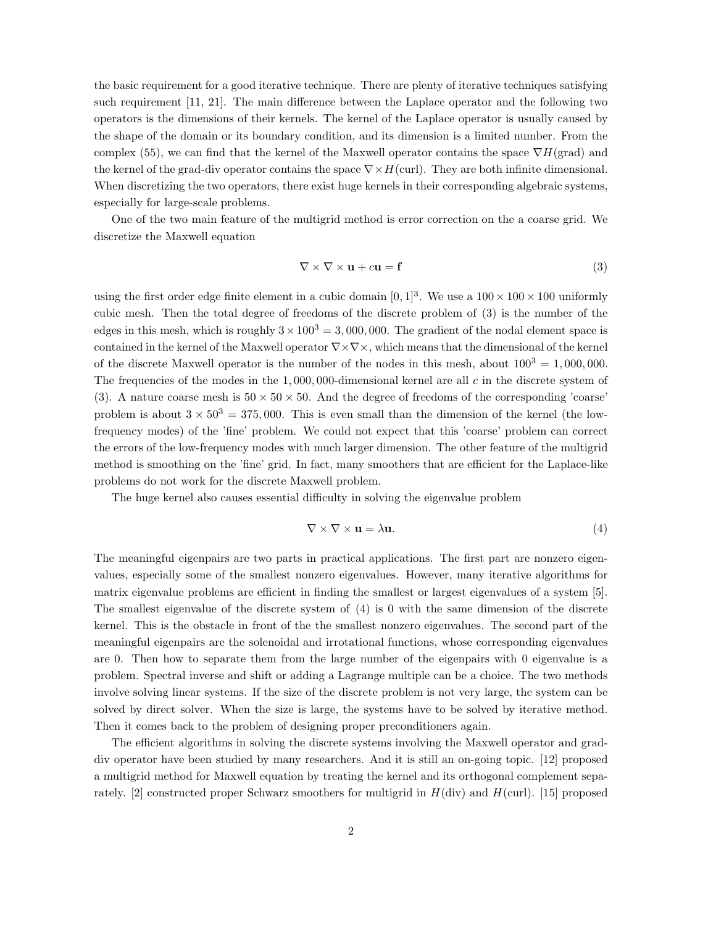the basic requirement for a good iterative technique. There are plenty of iterative techniques satisfying such requirement [11, 21]. The main difference between the Laplace operator and the following two operators is the dimensions of their kernels. The kernel of the Laplace operator is usually caused by the shape of the domain or its boundary condition, and its dimension is a limited number. From the complex (55), we can find that the kernel of the Maxwell operator contains the space  $\nabla H(\text{grad})$  and the kernel of the grad-div operator contains the space  $\nabla \times H$ (curl). They are both infinite dimensional. When discretizing the two operators, there exist huge kernels in their corresponding algebraic systems, especially for large-scale problems.

One of the two main feature of the multigrid method is error correction on the a coarse grid. We discretize the Maxwell equation

$$
\nabla \times \nabla \times \mathbf{u} + c\mathbf{u} = \mathbf{f} \tag{3}
$$

using the first order edge finite element in a cubic domain  $[0, 1]^3$ . We use a  $100 \times 100 \times 100$  uniformly cubic mesh. Then the total degree of freedoms of the discrete problem of (3) is the number of the edges in this mesh, which is roughly  $3 \times 100^3 = 3,000,000$ . The gradient of the nodal element space is contained in the kernel of the Maxwell operator  $\nabla \times \nabla \times$ , which means that the dimensional of the kernel of the discrete Maxwell operator is the number of the nodes in this mesh, about  $100^3 = 1,000,000$ . The frequencies of the modes in the  $1,000,000$ -dimensional kernel are all c in the discrete system of (3). A nature coarse mesh is  $50 \times 50 \times 50$ . And the degree of freedoms of the corresponding 'coarse' problem is about  $3 \times 50^3 = 375,000$ . This is even small than the dimension of the kernel (the lowfrequency modes) of the 'fine' problem. We could not expect that this 'coarse' problem can correct the errors of the low-frequency modes with much larger dimension. The other feature of the multigrid method is smoothing on the 'fine' grid. In fact, many smoothers that are efficient for the Laplace-like problems do not work for the discrete Maxwell problem.

The huge kernel also causes essential difficulty in solving the eigenvalue problem

$$
\nabla \times \nabla \times \mathbf{u} = \lambda \mathbf{u}.\tag{4}
$$

The meaningful eigenpairs are two parts in practical applications. The first part are nonzero eigenvalues, especially some of the smallest nonzero eigenvalues. However, many iterative algorithms for matrix eigenvalue problems are efficient in finding the smallest or largest eigenvalues of a system [5]. The smallest eigenvalue of the discrete system of (4) is 0 with the same dimension of the discrete kernel. This is the obstacle in front of the the smallest nonzero eigenvalues. The second part of the meaningful eigenpairs are the solenoidal and irrotational functions, whose corresponding eigenvalues are 0. Then how to separate them from the large number of the eigenpairs with 0 eigenvalue is a problem. Spectral inverse and shift or adding a Lagrange multiple can be a choice. The two methods involve solving linear systems. If the size of the discrete problem is not very large, the system can be solved by direct solver. When the size is large, the systems have to be solved by iterative method. Then it comes back to the problem of designing proper preconditioners again.

The efficient algorithms in solving the discrete systems involving the Maxwell operator and graddiv operator have been studied by many researchers. And it is still an on-going topic. [12] proposed a multigrid method for Maxwell equation by treating the kernel and its orthogonal complement separately. [2] constructed proper Schwarz smoothers for multigrid in  $H(\text{div})$  and  $H(\text{curl})$ . [15] proposed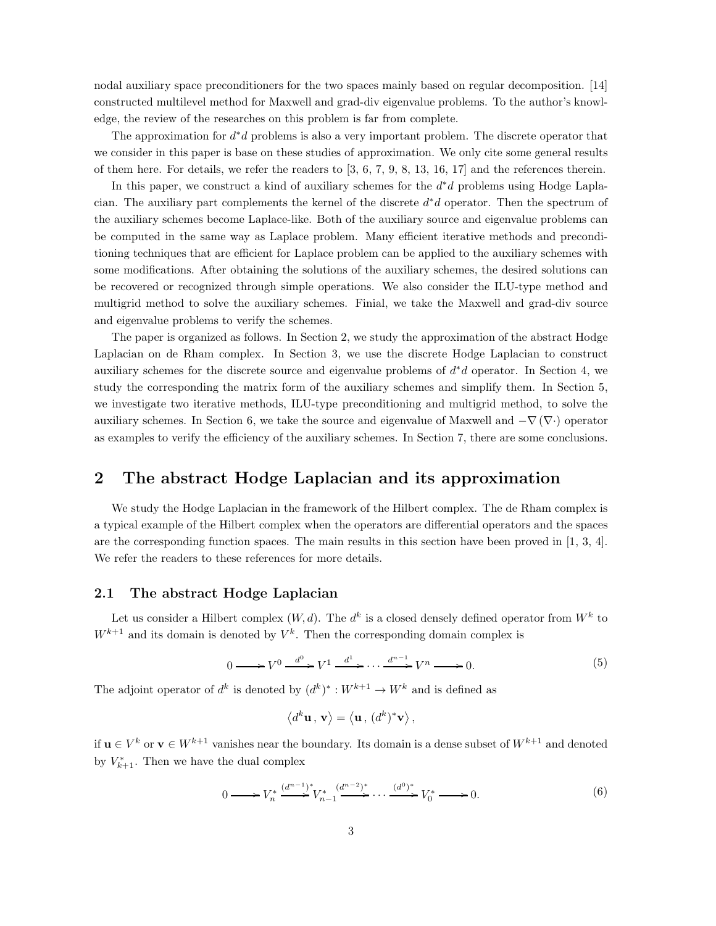nodal auxiliary space preconditioners for the two spaces mainly based on regular decomposition. [14] constructed multilevel method for Maxwell and grad-div eigenvalue problems. To the author's knowledge, the review of the researches on this problem is far from complete.

The approximation for  $d^*d$  problems is also a very important problem. The discrete operator that we consider in this paper is base on these studies of approximation. We only cite some general results of them here. For details, we refer the readers to [3, 6, 7, 9, 8, 13, 16, 17] and the references therein.

In this paper, we construct a kind of auxiliary schemes for the  $d^*d$  problems using Hodge Laplacian. The auxiliary part complements the kernel of the discrete  $d^*d$  operator. Then the spectrum of the auxiliary schemes become Laplace-like. Both of the auxiliary source and eigenvalue problems can be computed in the same way as Laplace problem. Many efficient iterative methods and preconditioning techniques that are efficient for Laplace problem can be applied to the auxiliary schemes with some modifications. After obtaining the solutions of the auxiliary schemes, the desired solutions can be recovered or recognized through simple operations. We also consider the ILU-type method and multigrid method to solve the auxiliary schemes. Finial, we take the Maxwell and grad-div source and eigenvalue problems to verify the schemes.

The paper is organized as follows. In Section 2, we study the approximation of the abstract Hodge Laplacian on de Rham complex. In Section 3, we use the discrete Hodge Laplacian to construct auxiliary schemes for the discrete source and eigenvalue problems of  $d * d$  operator. In Section 4, we study the corresponding the matrix form of the auxiliary schemes and simplify them. In Section 5, we investigate two iterative methods, ILU-type preconditioning and multigrid method, to solve the auxiliary schemes. In Section 6, we take the source and eigenvalue of Maxwell and  $-\nabla(\nabla \cdot)$  operator as examples to verify the efficiency of the auxiliary schemes. In Section 7, there are some conclusions.

## 2 The abstract Hodge Laplacian and its approximation

We study the Hodge Laplacian in the framework of the Hilbert complex. The de Rham complex is a typical example of the Hilbert complex when the operators are differential operators and the spaces are the corresponding function spaces. The main results in this section have been proved in [1, 3, 4]. We refer the readers to these references for more details.

## 2.1 The abstract Hodge Laplacian

Let us consider a Hilbert complex  $(W, d)$ . The  $d^k$  is a closed densely defined operator from  $W^k$  to  $W^{k+1}$  and its domain is denoted by  $V^k$ . Then the corresponding domain complex is

$$
0 \longrightarrow V^{0} \xrightarrow{d^{0}} V^{1} \xrightarrow{d^{1}} \cdots \xrightarrow{d^{n-1}} V^{n} \longrightarrow 0. \tag{5}
$$

The adjoint operator of  $d^k$  is denoted by  $(d^k)^* : W^{k+1} \to W^k$  and is defined as

$$
\left\langle d^k {\bf u} \, , \, {\bf v} \right\rangle = \left\langle {\bf u} \, , \, (d^k)^* {\bf v} \right\rangle,
$$

if  $\mathbf{u} \in V^k$  or  $\mathbf{v} \in W^{k+1}$  vanishes near the boundary. Its domain is a dense subset of  $W^{k+1}$  and denoted by  $V_{k+1}^*$ . Then we have the dual complex

$$
0 \longrightarrow V_n^* \stackrel{(d^{n-1})^*}{\longrightarrow} V_{n-1}^* \stackrel{(d^{n-2})^*}{\longrightarrow} \cdots \stackrel{(d^0)^*}{\longrightarrow} V_0^* \longrightarrow 0.
$$
 (6)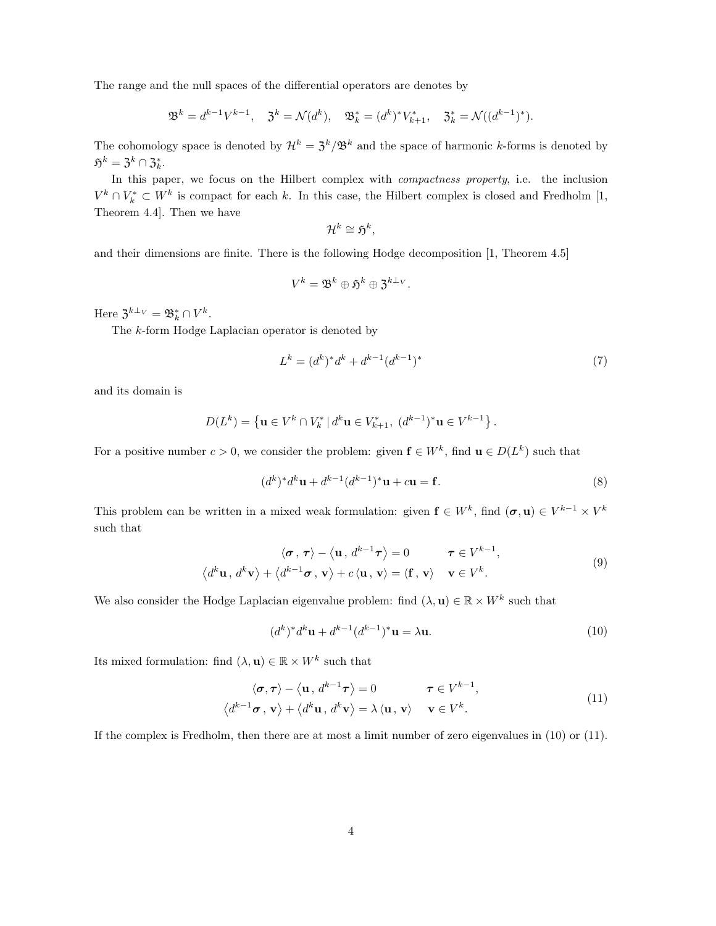The range and the null spaces of the differential operators are denotes by

$$
\mathfrak{B}^k = d^{k-1} V^{k-1}, \quad \mathfrak{Z}^k = \mathcal{N}(d^k), \quad \mathfrak{B}_k^* = (d^k)^* V_{k+1}^*, \quad \mathfrak{Z}_k^* = \mathcal{N}((d^{k-1})^*).
$$

The cohomology space is denoted by  $\mathcal{H}^k = \mathcal{F}^k/\mathfrak{B}^k$  and the space of harmonic k-forms is denoted by  $\mathfrak{H}^k = \mathfrak{Z}^k \cap \mathfrak{Z}_k^*.$ 

In this paper, we focus on the Hilbert complex with *compactness property*, i.e. the inclusion  $V^k \cap V^*_{k} \subset W^k$  is compact for each k. In this case, the Hilbert complex is closed and Fredholm [1, Theorem 4.4]. Then we have

$$
\mathcal{H}^k \cong \mathfrak{H}^k
$$

,

and their dimensions are finite. There is the following Hodge decomposition [1, Theorem 4.5]

$$
V^k = \mathfrak{B}^k \oplus \mathfrak{H}^k \oplus \mathfrak{Z}^{k \perp_V}.
$$

Here  $\mathfrak{Z}^{k \perp_V} = \mathfrak{B}_k^* \cap V^k$ .

The k-form Hodge Laplacian operator is denoted by

$$
L^k = (d^k)^* d^k + d^{k-1} (d^{k-1})^*
$$
\n(7)

and its domain is

$$
D(L^k) = \left\{ \mathbf{u} \in V^k \cap V^*_{k} \, | \, d^k \mathbf{u} \in V^*_{k+1}, \, (d^{k-1})^* \mathbf{u} \in V^{k-1} \right\}.
$$

For a positive number  $c > 0$ , we consider the problem: given  $f \in W^k$ , find  $u \in D(L^k)$  such that

$$
(d^k)^* d^k \mathbf{u} + d^{k-1} (d^{k-1})^* \mathbf{u} + c \mathbf{u} = \mathbf{f}.
$$
 (8)

This problem can be written in a mixed weak formulation: given  $f \in W^k$ , find  $(\sigma, \mathbf{u}) \in V^{k-1} \times V^k$ such that

$$
\langle \boldsymbol{\sigma}, \boldsymbol{\tau} \rangle - \langle \mathbf{u}, d^{k-1} \boldsymbol{\tau} \rangle = 0 \qquad \boldsymbol{\tau} \in V^{k-1},
$$
  

$$
\langle d^k \mathbf{u}, d^k \mathbf{v} \rangle + \langle d^{k-1} \boldsymbol{\sigma}, \mathbf{v} \rangle + c \langle \mathbf{u}, \mathbf{v} \rangle = \langle \mathbf{f}, \mathbf{v} \rangle \qquad \mathbf{v} \in V^k.
$$
 (9)

We also consider the Hodge Laplacian eigenvalue problem: find  $(\lambda, \mathbf{u}) \in \mathbb{R} \times W^k$  such that

$$
(dk)* dk \mathbf{u} + dk-1 (dk-1)* \mathbf{u} = \lambda \mathbf{u}.
$$
 (10)

Its mixed formulation: find  $(\lambda, \mathbf{u}) \in \mathbb{R} \times W^k$  such that

$$
\langle \boldsymbol{\sigma}, \boldsymbol{\tau} \rangle - \langle \mathbf{u}, d^{k-1} \boldsymbol{\tau} \rangle = 0 \qquad \boldsymbol{\tau} \in V^{k-1},
$$
  

$$
\langle d^{k-1} \boldsymbol{\sigma}, \mathbf{v} \rangle + \langle d^k \mathbf{u}, d^k \mathbf{v} \rangle = \lambda \langle \mathbf{u}, \mathbf{v} \rangle \qquad \mathbf{v} \in V^k.
$$
 (11)

If the complex is Fredholm, then there are at most a limit number of zero eigenvalues in (10) or (11).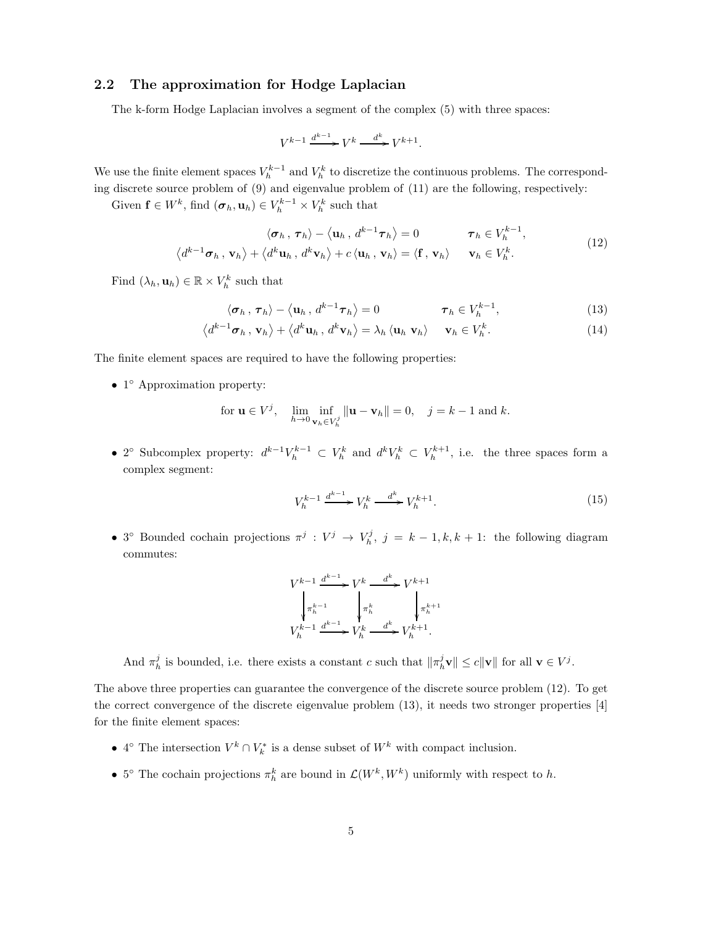## 2.2 The approximation for Hodge Laplacian

The k-form Hodge Laplacian involves a segment of the complex (5) with three spaces:

$$
V^{k-1} \xrightarrow{d^{k-1}} V^k \xrightarrow{d^k} V^{k+1}.
$$

We use the finite element spaces  $V_h^{k-1}$  and  $V_h^k$  to discretize the continuous problems. The corresponding discrete source problem of (9) and eigenvalue problem of (11) are the following, respectively:

Given  $\mathbf{f} \in W^k$ , find  $(\boldsymbol{\sigma}_h, \mathbf{u}_h) \in V_h^{k-1} \times V_h^k$  such that

$$
\langle \sigma_h, \tau_h \rangle - \langle \mathbf{u}_h, d^{k-1} \tau_h \rangle = 0 \qquad \tau_h \in V_h^{k-1},
$$
  

$$
\langle d^{k-1} \sigma_h, \mathbf{v}_h \rangle + \langle d^k \mathbf{u}_h, d^k \mathbf{v}_h \rangle + c \langle \mathbf{u}_h, \mathbf{v}_h \rangle = \langle \mathbf{f}, \mathbf{v}_h \rangle \qquad \mathbf{v}_h \in V_h^k.
$$
 (12)

Find  $(\lambda_h, \mathbf{u}_h) \in \mathbb{R} \times V_h^k$  such that

$$
\langle \sigma_h, \tau_h \rangle - \langle \mathbf{u}_h, d^{k-1} \tau_h \rangle = 0 \qquad \qquad \tau_h \in V_h^{k-1}, \qquad (13)
$$

$$
\langle d^{k-1}\boldsymbol{\sigma}_h, \mathbf{v}_h \rangle + \langle d^k \mathbf{u}_h, d^k \mathbf{v}_h \rangle = \lambda_h \langle \mathbf{u}_h, \mathbf{v}_h \rangle \quad \mathbf{v}_h \in V_h^k. \tag{14}
$$

The finite element spaces are required to have the following properties:

• 1 ◦ Approximation property:

for 
$$
\mathbf{u} \in V^j
$$
,  $\lim_{h \to 0} \inf_{\mathbf{v}_h \in V_h^j} ||\mathbf{u} - \mathbf{v}_h|| = 0$ ,  $j = k - 1$  and k.

• 2° Subcomplex property:  $d^{k-1}V_h^{k-1} \subset V_h^k$  and  $d^kV_h^k \subset V_h^{k+1}$ , i.e. the three spaces form a complex segment:

$$
V_h^{k-1} \xrightarrow{d^{k-1}} V_h^k \xrightarrow{d^k} V_h^{k+1}.
$$
\n
$$
(15)
$$

• 3<sup>o</sup> Bounded cochain projections  $\pi^j: V^j \to V^j_h$ ,  $j = k - 1, k, k + 1$ : the following diagram commutes:

$$
V^{k-1} \xrightarrow{d^{k-1}} V^k \xrightarrow{d^k} V^{k+1}
$$

$$
\downarrow \pi_h^{k-1} \qquad \qquad \downarrow \pi_h^k \qquad \qquad \downarrow \pi_h^{k+1}
$$

$$
V_h^{k-1} \xrightarrow{d^{k-1}} V_h^k \xrightarrow{d^k} V_h^{k+1}.
$$

And  $\pi_h^j$  is bounded, i.e. there exists a constant c such that  $\|\pi_h^j \mathbf{v}\| \le c \|\mathbf{v}\|$  for all  $\mathbf{v} \in V^j$ .

The above three properties can guarantee the convergence of the discrete source problem (12). To get the correct convergence of the discrete eigenvalue problem (13), it needs two stronger properties [4] for the finite element spaces:

- 4° The intersection  $V^k \cap V^*_{k}$  is a dense subset of  $W^k$  with compact inclusion.
- 5° The cochain projections  $\pi_h^k$  are bound in  $\mathcal{L}(W^k, W^k)$  uniformly with respect to h.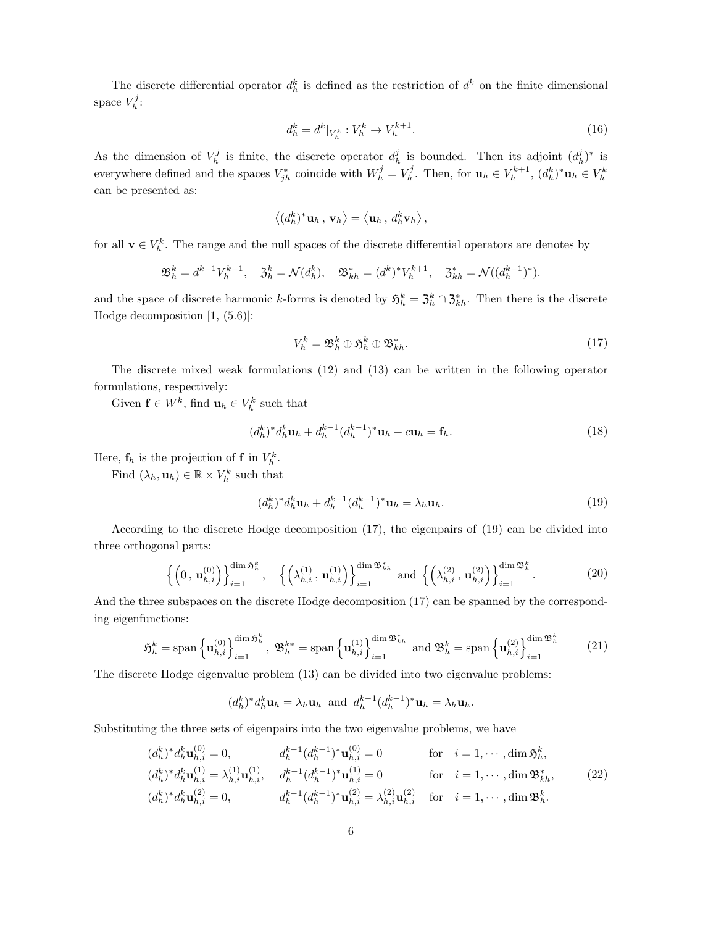The discrete differential operator  $d_h^k$  is defined as the restriction of  $d^k$  on the finite dimensional space  $V_h^j$ :

$$
d_h^k = d^k|_{V_h^k} : V_h^k \to V_h^{k+1}.
$$
\n(16)

As the dimension of  $V_h^j$  is finite, the discrete operator  $d_h^j$  is bounded. Then its adjoint  $(d_h^j)^*$  is everywhere defined and the spaces  $V_{jh}^*$  coincide with  $W_h^j = V_h^j$ . Then, for  $\mathbf{u}_h \in V_h^{k+1}$ ,  $(d_h^k)^* \mathbf{u}_h \in V_h^k$ can be presented as:

$$
\left\langle (d_h^k)^* \mathbf{u}_h \, , \, \mathbf{v}_h \right\rangle = \left\langle \mathbf{u}_h \, , \, d_h^k \mathbf{v}_h \right\rangle,
$$

for all  $\mathbf{v} \in V_h^k$ . The range and the null spaces of the discrete differential operators are denotes by

$$
\mathfrak{B}_h^k = d^{k-1} V_h^{k-1}, \quad \mathfrak{Z}_h^k = \mathcal{N}(d_h^k), \quad \mathfrak{B}_{kh}^* = (d^k)^* V_h^{k+1}, \quad \mathfrak{Z}_{kh}^* = \mathcal{N}((d_h^{k-1})^*).
$$

and the space of discrete harmonic k-forms is denoted by  $\mathfrak{H}^k_h = \mathfrak{Z}^k_h \cap \mathfrak{Z}^*_{kh}$ . Then there is the discrete Hodge decomposition [1, (5.6)]:

$$
V_h^k = \mathfrak{B}_h^k \oplus \mathfrak{H}_h^k \oplus \mathfrak{B}_{kh}^*.
$$
 (17)

The discrete mixed weak formulations (12) and (13) can be written in the following operator formulations, respectively:

Given  $\mathbf{f} \in W^k$ , find  $\mathbf{u}_h \in V_h^k$  such that

$$
(d_h^k)^* d_h^k \mathbf{u}_h + d_h^{k-1} (d_h^{k-1})^* \mathbf{u}_h + c \mathbf{u}_h = \mathbf{f}_h. \tag{18}
$$

Here,  $f_h$  is the projection of **f** in  $V_h^k$ .

Find  $(\lambda_h, \mathbf{u}_h) \in \mathbb{R} \times V_h^k$  such that

$$
(d_h^k)^* d_h^k \mathbf{u}_h + d_h^{k-1} (d_h^{k-1})^* \mathbf{u}_h = \lambda_h \mathbf{u}_h.
$$
\n
$$
(19)
$$

According to the discrete Hodge decomposition (17), the eigenpairs of (19) can be divided into three orthogonal parts:

$$
\left\{ \left(0, \mathbf{u}_{h,i}^{(0)}\right) \right\}_{i=1}^{\dim \mathfrak{H}_h^k}, \quad \left\{ \left(\lambda_{h,i}^{(1)}, \mathbf{u}_{h,i}^{(1)}\right) \right\}_{i=1}^{\dim \mathfrak{B}_{kh}^*} \text{ and } \left\{ \left(\lambda_{h,i}^{(2)}, \mathbf{u}_{h,i}^{(2)}\right) \right\}_{i=1}^{\dim \mathfrak{B}_h^k}.
$$
 (20)

And the three subspaces on the discrete Hodge decomposition (17) can be spanned by the corresponding eigenfunctions:

$$
\mathfrak{H}_h^k = \text{span}\left\{ \mathbf{u}_{h,i}^{(0)} \right\}_{i=1}^{\dim \mathfrak{H}_h^k}, \ \mathfrak{B}_h^{k*} = \text{span}\left\{ \mathbf{u}_{h,i}^{(1)} \right\}_{i=1}^{\dim \mathfrak{B}_{kh}^*} \ \text{and} \ \mathfrak{B}_h^k = \text{span}\left\{ \mathbf{u}_{h,i}^{(2)} \right\}_{i=1}^{\dim \mathfrak{B}_h^k} \tag{21}
$$

The discrete Hodge eigenvalue problem (13) can be divided into two eigenvalue problems:

$$
(d_h^k)^* d_h^k \mathbf{u}_h = \lambda_h \mathbf{u}_h
$$
 and  $d_h^{k-1} (d_h^{k-1})^* \mathbf{u}_h = \lambda_h \mathbf{u}_h$ .

Substituting the three sets of eigenpairs into the two eigenvalue problems, we have

$$
(d_h^k)^* d_h^k \mathbf{u}_{h,i}^{(0)} = 0, \t d_h^{k-1} (d_h^{k-1})^* \mathbf{u}_{h,i}^{(0)} = 0 \t \text{for} \t i = 1, \cdots, \dim \mathfrak{H}_h^k,
$$
  
\n
$$
(d_h^k)^* d_h^k \mathbf{u}_{h,i}^{(1)} = \lambda_{h,i}^{(1)} \mathbf{u}_{h,i}^{(1)}, \t d_h^{k-1} (d_h^{k-1})^* \mathbf{u}_{h,i}^{(1)} = 0 \t \text{for} \t i = 1, \cdots, \dim \mathfrak{B}_{kh}^*,
$$
  
\n
$$
(d_h^k)^* d_h^k \mathbf{u}_{h,i}^{(2)} = 0, \t d_h^{k-1} (d_h^{k-1})^* \mathbf{u}_{h,i}^{(2)} = \lambda_{h,i}^{(2)} \mathbf{u}_{h,i}^{(2)} \t \text{for} \t i = 1, \cdots, \dim \mathfrak{B}_h^k.
$$
\n(22)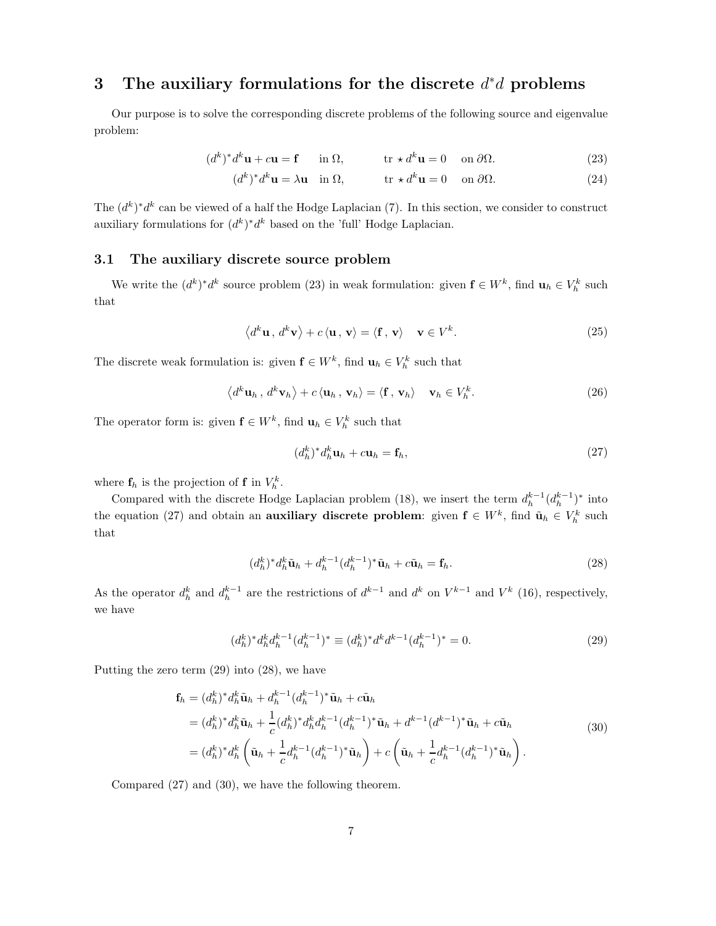# 3 The auxiliary formulations for the discrete  $d^*d$  problems

Our purpose is to solve the corresponding discrete problems of the following source and eigenvalue problem:

$$
(d^k)^* d^k \mathbf{u} + c \mathbf{u} = \mathbf{f} \quad \text{in } \Omega, \qquad \text{tr} \star d^k \mathbf{u} = 0 \quad \text{on } \partial \Omega. \tag{23}
$$

$$
(d^k)^* d^k \mathbf{u} = \lambda \mathbf{u} \quad \text{in } \Omega, \qquad \qquad \text{tr} \star d^k \mathbf{u} = 0 \quad \text{on } \partial \Omega. \tag{24}
$$

The  $(d^k)^*d^k$  can be viewed of a half the Hodge Laplacian (7). In this section, we consider to construct auxiliary formulations for  $(d^k)^* d^k$  based on the 'full' Hodge Laplacian.

#### 3.1 The auxiliary discrete source problem

We write the  $(d^k)^*d^k$  source problem (23) in weak formulation: given  $f \in W^k$ , find  $u_h \in V_h^k$  such that

$$
\langle d^k \mathbf{u}, d^k \mathbf{v} \rangle + c \langle \mathbf{u}, \mathbf{v} \rangle = \langle \mathbf{f}, \mathbf{v} \rangle \quad \mathbf{v} \in V^k. \tag{25}
$$

The discrete weak formulation is: given  $f \in W^k$ , find  $u_h \in V_h^k$  such that

$$
\langle d^k \mathbf{u}_h, d^k \mathbf{v}_h \rangle + c \langle \mathbf{u}_h, \mathbf{v}_h \rangle = \langle \mathbf{f}, \mathbf{v}_h \rangle \quad \mathbf{v}_h \in V_h^k. \tag{26}
$$

The operator form is: given  $f \in W^k$ , find  $u_h \in V_h^k$  such that

$$
(d_h^k)^* d_h^k \mathbf{u}_h + c \mathbf{u}_h = \mathbf{f}_h,\tag{27}
$$

where  $\mathbf{f}_h$  is the projection of **f** in  $V_h^k$ .

Compared with the discrete Hodge Laplacian problem (18), we insert the term  $d_h^{k-1}(d_h^{k-1})^*$  into the equation (27) and obtain an **auxiliary discrete problem**: given  $f \in W^k$ , find  $\tilde{u}_h \in V_h^k$  such that

$$
(d_h^k)^* d_h^k \tilde{\mathbf{u}}_h + d_h^{k-1} (d_h^{k-1})^* \tilde{\mathbf{u}}_h + c \tilde{\mathbf{u}}_h = \mathbf{f}_h. \tag{28}
$$

As the operator  $d_h^k$  and  $d_h^{k-1}$  are the restrictions of  $d^{k-1}$  and  $d^k$  on  $V^{k-1}$  and  $V^k$  (16), respectively, we have

$$
(d_h^k)^* d_h^k d_h^{k-1} (d_h^{k-1})^* \equiv (d_h^k)^* d^k d^{k-1} (d_h^{k-1})^* = 0.
$$
\n<sup>(29)</sup>

Putting the zero term (29) into (28), we have

$$
\mathbf{f}_{h} = (d_{h}^{k})^{*} d_{h}^{k} \tilde{\mathbf{u}}_{h} + d_{h}^{k-1} (d_{h}^{k-1})^{*} \tilde{\mathbf{u}}_{h} + c \tilde{\mathbf{u}}_{h}
$$
\n
$$
= (d_{h}^{k})^{*} d_{h}^{k} \tilde{\mathbf{u}}_{h} + \frac{1}{c} (d_{h}^{k})^{*} d_{h}^{k} d_{h}^{k-1} (d_{h}^{k-1})^{*} \tilde{\mathbf{u}}_{h} + d^{k-1} (d^{k-1})^{*} \tilde{\mathbf{u}}_{h} + c \tilde{\mathbf{u}}_{h}
$$
\n
$$
= (d_{h}^{k})^{*} d_{h}^{k} \left( \tilde{\mathbf{u}}_{h} + \frac{1}{c} d_{h}^{k-1} (d_{h}^{k-1})^{*} \tilde{\mathbf{u}}_{h} \right) + c \left( \tilde{\mathbf{u}}_{h} + \frac{1}{c} d_{h}^{k-1} (d_{h}^{k-1})^{*} \tilde{\mathbf{u}}_{h} \right).
$$
\n(30)

Compared (27) and (30), we have the following theorem.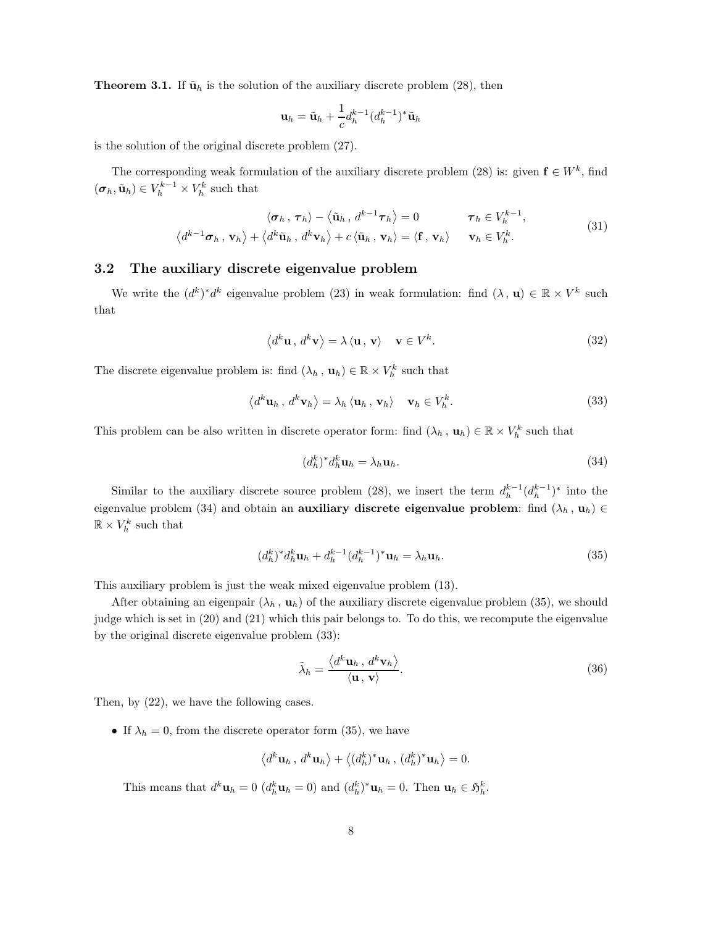**Theorem 3.1.** If  $\tilde{\mathbf{u}}_h$  is the solution of the auxiliary discrete problem (28), then

$$
\mathbf{u}_h = \tilde{\mathbf{u}}_h + \frac{1}{c} d_h^{k-1} (d_h^{k-1})^* \tilde{\mathbf{u}}_h
$$

is the solution of the original discrete problem (27).

The corresponding weak formulation of the auxiliary discrete problem (28) is: given  $f \in W^k$ , find  $(\boldsymbol{\sigma}_h, \tilde{\mathbf{u}}_h) \in V_h^{k-1} \times V_h^k$  such that

$$
\langle \sigma_h, \tau_h \rangle - \langle \tilde{\mathbf{u}}_h, d^{k-1} \tau_h \rangle = 0 \qquad \tau_h \in V_h^{k-1},
$$
  

$$
\langle d^{k-1} \sigma_h, \mathbf{v}_h \rangle + \langle d^k \tilde{\mathbf{u}}_h, d^k \mathbf{v}_h \rangle + c \langle \tilde{\mathbf{u}}_h, \mathbf{v}_h \rangle = \langle \mathbf{f}, \mathbf{v}_h \rangle \qquad \mathbf{v}_h \in V_h^k.
$$
 (31)

#### 3.2 The auxiliary discrete eigenvalue problem

We write the  $(d^k)^*d^k$  eigenvalue problem (23) in weak formulation: find  $(\lambda, \mathbf{u}) \in \mathbb{R} \times V^k$  such that

$$
\langle d^k \mathbf{u}, d^k \mathbf{v} \rangle = \lambda \langle \mathbf{u}, \mathbf{v} \rangle \quad \mathbf{v} \in V^k. \tag{32}
$$

The discrete eigenvalue problem is: find  $(\lambda_h, \mathbf{u}_h) \in \mathbb{R} \times V_h^k$  such that

$$
\langle d^k \mathbf{u}_h, d^k \mathbf{v}_h \rangle = \lambda_h \langle \mathbf{u}_h, \mathbf{v}_h \rangle \quad \mathbf{v}_h \in V_h^k. \tag{33}
$$

This problem can be also written in discrete operator form: find  $(\lambda_h, \mathbf{u}_h) \in \mathbb{R} \times V_h^k$  such that

$$
(d_h^k)^* d_h^k \mathbf{u}_h = \lambda_h \mathbf{u}_h. \tag{34}
$$

Similar to the auxiliary discrete source problem (28), we insert the term  $d_h^{k-1}(d_h^{k-1})^*$  into the eigenvalue problem (34) and obtain an **auxiliary discrete eigenvalue problem**: find  $(\lambda_h, \mathbf{u}_h) \in$  $\mathbb{R} \times V_h^k$  such that

$$
(d_h^k)^* d_h^k \mathbf{u}_h + d_h^{k-1} (d_h^{k-1})^* \mathbf{u}_h = \lambda_h \mathbf{u}_h.
$$
\n
$$
(35)
$$

This auxiliary problem is just the weak mixed eigenvalue problem (13).

After obtaining an eigenpair  $(\lambda_h, \mathbf{u}_h)$  of the auxiliary discrete eigenvalue problem (35), we should judge which is set in (20) and (21) which this pair belongs to. To do this, we recompute the eigenvalue by the original discrete eigenvalue problem (33):

$$
\tilde{\lambda}_h = \frac{\langle d^k \mathbf{u}_h, d^k \mathbf{v}_h \rangle}{\langle \mathbf{u}, \mathbf{v} \rangle}.
$$
\n(36)

Then, by (22), we have the following cases.

• If  $\lambda_h = 0$ , from the discrete operator form (35), we have

$$
\left\langle d^k \mathbf{u}_h, d^k \mathbf{u}_h \right\rangle + \left\langle (d^k_h)^* \mathbf{u}_h, (d^k_h)^* \mathbf{u}_h \right\rangle = 0.
$$

This means that  $d^k \mathbf{u}_h = 0$   $(d_h^k \mathbf{u}_h = 0)$  and  $(d_h^k)^* \mathbf{u}_h = 0$ . Then  $\mathbf{u}_h \in \mathfrak{H}_h^k$ .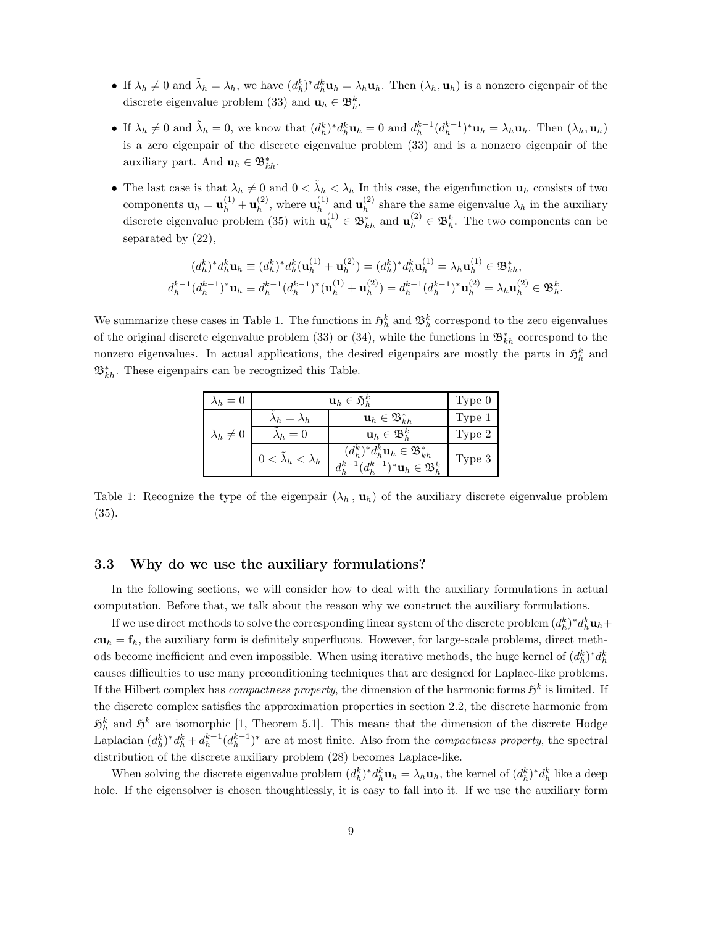- If  $\lambda_h \neq 0$  and  $\tilde{\lambda}_h = \lambda_h$ , we have  $(d_h^k)^* d_h^k \mathbf{u}_h = \lambda_h \mathbf{u}_h$ . Then  $(\lambda_h, \mathbf{u}_h)$  is a nonzero eigenpair of the discrete eigenvalue problem (33) and  $\mathbf{u}_h \in \mathfrak{B}_h^k$ .
- If  $\lambda_h \neq 0$  and  $\tilde{\lambda}_h = 0$ , we know that  $(d_h^k)^* d_h^k \mathbf{u}_h = 0$  and  $d_h^{k-1} (d_h^{k-1})^* \mathbf{u}_h = \lambda_h \mathbf{u}_h$ . Then  $(\lambda_h, \mathbf{u}_h)$ is a zero eigenpair of the discrete eigenvalue problem (33) and is a nonzero eigenpair of the auxiliary part. And  $\mathbf{u}_h \in \mathfrak{B}_{kh}^*$ .
- The last case is that  $\lambda_h \neq 0$  and  $0 < \tilde{\lambda}_h < \lambda_h$  In this case, the eigenfunction  $u_h$  consists of two components  $\mathbf{u}_h = \mathbf{u}_h^{(1)} + \mathbf{u}_h^{(2)}$  $\mathbf{u}_h^{(2)}$ , where  $\mathbf{u}_h^{(1)}$  $\mathbf{u}_h^{(1)}$  and  $\mathbf{u}_h^{(2)}$  $h<sup>(2)</sup>$  share the same eigenvalue  $\lambda_h$  in the auxiliary discrete eigenvalue problem (35) with  $\mathbf{u}_h^{(1)} \in \mathfrak{B}_{kh}^*$  and  $\mathbf{u}_h^{(2)} \in \mathfrak{B}_h^k$ . The two components can be separated by (22),

$$
(d_h^k)^* d_h^k \mathbf{u}_h \equiv (d_h^k)^* d_h^k (\mathbf{u}_h^{(1)} + \mathbf{u}_h^{(2)}) = (d_h^k)^* d_h^k \mathbf{u}_h^{(1)} = \lambda_h \mathbf{u}_h^{(1)} \in \mathfrak{B}_{kh}^*,
$$
  

$$
d_h^{k-1} (d_h^{k-1})^* \mathbf{u}_h \equiv d_h^{k-1} (d_h^{k-1})^* (\mathbf{u}_h^{(1)} + \mathbf{u}_h^{(2)}) = d_h^{k-1} (d_h^{k-1})^* \mathbf{u}_h^{(2)} = \lambda_h \mathbf{u}_h^{(2)} \in \mathfrak{B}_h^k.
$$

We summarize these cases in Table 1. The functions in  $\mathfrak{H}^k_h$  and  $\mathfrak{B}^k_h$  correspond to the zero eigenvalues of the original discrete eigenvalue problem (33) or (34), while the functions in  $\mathfrak{B}_{kh}^*$  correspond to the nonzero eigenvalues. In actual applications, the desired eigenpairs are mostly the parts in  $\mathfrak{H}^k_h$  and  $\mathfrak{B}^*_{kh}$ . These eigenpairs can be recognized this Table.

| $\lambda_h=0$      | $\mathbf{u}_h \in \mathfrak{H}^k_h$ | Type 0                                                                                                         |        |
|--------------------|-------------------------------------|----------------------------------------------------------------------------------------------------------------|--------|
|                    | $\lambda_h = \lambda_h$             | $\mathbf{u}_h \in \mathfrak{B}_{kh}^*$                                                                         | Type 1 |
| $\lambda_h \neq 0$ | $\lambda_h=0$                       | $\mathbf{u}_h \in \mathfrak{B}_h^k$                                                                            | Type 2 |
|                    | $0 < \lambda_h < \lambda_h$         | $(d_h^k)^* d_h^k \mathbf{u}_h \in \mathfrak{B}_{kh}^*$<br>$d_h^{k-1}(d_h^{k-1})^*$ u $_h \in \mathfrak{B}_h^k$ | Type 3 |

Table 1: Recognize the type of the eigenpair  $(\lambda_h, \mathbf{u}_h)$  of the auxiliary discrete eigenvalue problem (35).

### 3.3 Why do we use the auxiliary formulations?

In the following sections, we will consider how to deal with the auxiliary formulations in actual computation. Before that, we talk about the reason why we construct the auxiliary formulations.

If we use direct methods to solve the corresponding linear system of the discrete problem  $(d_h^k)^* d_h^k \mathbf{u}_h +$  $cu_h = f_h$ , the auxiliary form is definitely superfluous. However, for large-scale problems, direct methods become inefficient and even impossible. When using iterative methods, the huge kernel of  $(d_h^k)^* d_h^k$ causes difficulties to use many preconditioning techniques that are designed for Laplace-like problems. If the Hilbert complex has *compactness property*, the dimension of the harmonic forms  $\mathfrak{H}^k$  is limited. If the discrete complex satisfies the approximation properties in section 2.2, the discrete harmonic from  $\mathfrak{H}_h^k$  and  $\mathfrak{H}^k$  are isomorphic [1, Theorem 5.1]. This means that the dimension of the discrete Hodge Laplacian  $(d_h^k)^* d_h^k + d_h^{k-1} (d_h^{k-1})^*$  are at most finite. Also from the *compactness property*, the spectral distribution of the discrete auxiliary problem (28) becomes Laplace-like.

When solving the discrete eigenvalue problem  $(d_h^k)^* d_h^k \mathbf{u}_h = \lambda_h \mathbf{u}_h$ , the kernel of  $(d_h^k)^* d_h^k$  like a deep hole. If the eigensolver is chosen thoughtlessly, it is easy to fall into it. If we use the auxiliary form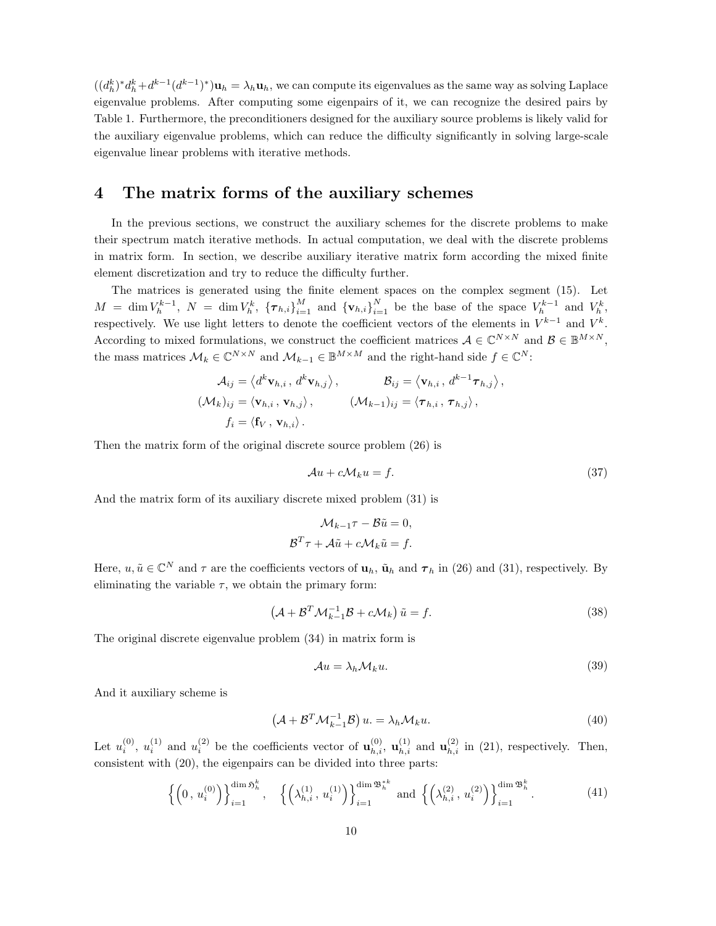$((d_h^k)^* d_h^k + d^{k-1} (d^{k-1})^*)$ **u**<sub>h</sub> =  $\lambda_h$ **u**<sub>h</sub>, we can compute its eigenvalues as the same way as solving Laplace eigenvalue problems. After computing some eigenpairs of it, we can recognize the desired pairs by Table 1. Furthermore, the preconditioners designed for the auxiliary source problems is likely valid for the auxiliary eigenvalue problems, which can reduce the difficulty significantly in solving large-scale eigenvalue linear problems with iterative methods.

## 4 The matrix forms of the auxiliary schemes

In the previous sections, we construct the auxiliary schemes for the discrete problems to make their spectrum match iterative methods. In actual computation, we deal with the discrete problems in matrix form. In section, we describe auxiliary iterative matrix form according the mixed finite element discretization and try to reduce the difficulty further.

The matrices is generated using the finite element spaces on the complex segment (15). Let  $M = \dim V_h^{k-1}$ ,  $N = \dim V_h^k$ ,  ${\lbrace \tau_{h,i} \rbrace}_{i=1}^M$  and  ${\lbrace v_{h,i} \rbrace}_{i=1}^N$  be the base of the space  $V_h^{k-1}$  and  $V_h^k$ , respectively. We use light letters to denote the coefficient vectors of the elements in  $V^{k-1}$  and  $V^k$ . According to mixed formulations, we construct the coefficient matrices  $A \in \mathbb{C}^{N \times N}$  and  $B \in \mathbb{B}^{M \times N}$ , the mass matrices  $\mathcal{M}_k \in \mathbb{C}^{N \times N}$  and  $\mathcal{M}_{k-1} \in \mathbb{B}^{M \times M}$  and the right-hand side  $f \in \mathbb{C}^N$ :

$$
\mathcal{A}_{ij} = \left\langle d^k \mathbf{v}_{h,i}, d^k \mathbf{v}_{h,j} \right\rangle, \qquad \mathcal{B}_{ij} = \left\langle \mathbf{v}_{h,i}, d^{k-1} \boldsymbol{\tau}_{h,j} \right\rangle,
$$
  

$$
(\mathcal{M}_k)_{ij} = \left\langle \mathbf{v}_{h,i}, \mathbf{v}_{h,j} \right\rangle, \qquad (\mathcal{M}_{k-1})_{ij} = \left\langle \boldsymbol{\tau}_{h,i}, \boldsymbol{\tau}_{h,j} \right\rangle,
$$
  

$$
f_i = \left\langle \mathbf{f}_V, \mathbf{v}_{h,i} \right\rangle.
$$

Then the matrix form of the original discrete source problem (26) is

$$
\mathcal{A}u + c\mathcal{M}_k u = f. \tag{37}
$$

And the matrix form of its auxiliary discrete mixed problem (31) is

$$
\mathcal{M}_{k-1}\tau - \mathcal{B}\tilde{u} = 0,
$$
  

$$
\mathcal{B}^T \tau + \mathcal{A}\tilde{u} + c\mathcal{M}_k\tilde{u} = f.
$$

Here,  $u, \tilde{u} \in \mathbb{C}^N$  and  $\tau$  are the coefficients vectors of  $\mathbf{u}_h$ ,  $\tilde{\mathbf{u}}_h$  and  $\tau_h$  in (26) and (31), respectively. By eliminating the variable  $\tau$ , we obtain the primary form:

$$
\left(\mathcal{A} + \mathcal{B}^T \mathcal{M}_{k-1}^{-1} \mathcal{B} + c \mathcal{M}_k\right) \tilde{u} = f.
$$
\n(38)

The original discrete eigenvalue problem (34) in matrix form is

$$
\mathcal{A}u = \lambda_h \mathcal{M}_k u. \tag{39}
$$

And it auxiliary scheme is

$$
\left(\mathcal{A} + \mathcal{B}^T \mathcal{M}_{k-1}^{-1} \mathcal{B}\right) u = \lambda_h \mathcal{M}_k u.
$$
\n(40)

Let  $u_i^{(0)}$ ,  $u_i^{(1)}$  and  $u_i^{(2)}$  be the coefficients vector of  $\mathbf{u}_{h,i}^{(0)}$ ,  $\mathbf{u}_{h,i}^{(1)}$  and  $\mathbf{u}_{h,i}^{(2)}$  in (21), respectively. Then, consistent with (20), the eigenpairs can be divided into three parts:

$$
\left\{ \left(0, u_i^{(0)}\right) \right\}_{i=1}^{\dim \mathfrak{H}_h^k}, \quad \left\{ \left(\lambda_{h,i}^{(1)}, u_i^{(1)}\right) \right\}_{i=1}^{\dim \mathfrak{B}_h^{*k}} \text{ and } \left\{ \left(\lambda_{h,i}^{(2)}, u_i^{(2)}\right) \right\}_{i=1}^{\dim \mathfrak{B}_h^k}.
$$
 (41)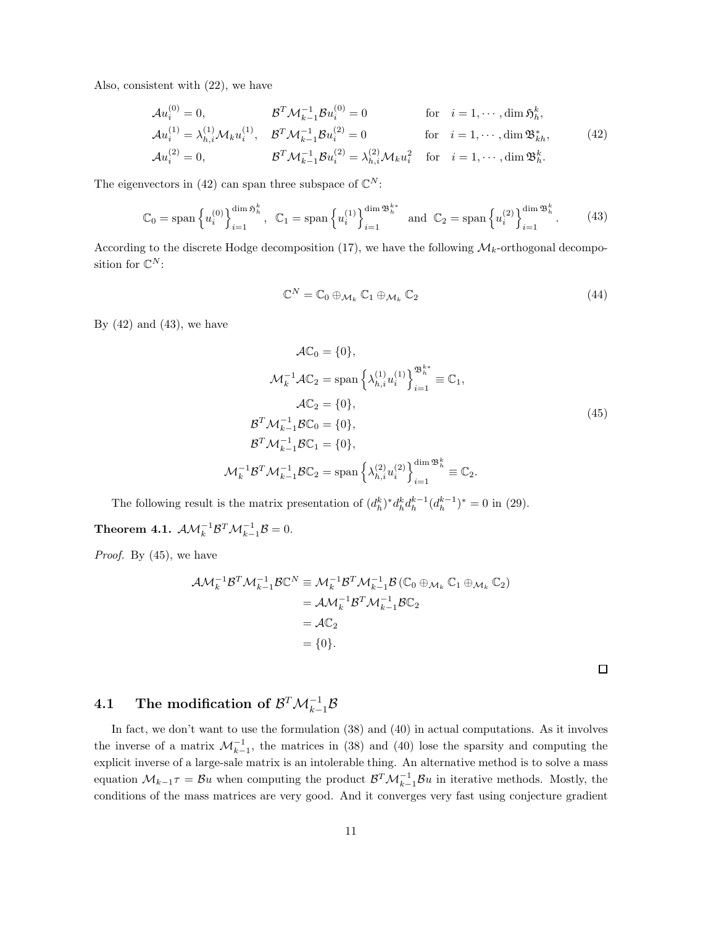Also, consistent with (22), we have

$$
\mathcal{A}u_i^{(0)} = 0, \qquad \mathcal{B}^T \mathcal{M}_{k-1}^{-1} \mathcal{B}u_i^{(0)} = 0 \qquad \text{for} \quad i = 1, \cdots, \dim \mathfrak{H}_h^k,
$$
  
\n
$$
\mathcal{A}u_i^{(1)} = \lambda_{h,i}^{(1)} \mathcal{M}_k u_i^{(1)}, \qquad \mathcal{B}^T \mathcal{M}_{k-1}^{-1} \mathcal{B}u_i^{(2)} = 0 \qquad \text{for} \quad i = 1, \cdots, \dim \mathfrak{B}_{kh}^*,
$$
  
\n
$$
\mathcal{A}u_i^{(2)} = 0, \qquad \mathcal{B}^T \mathcal{M}_{k-1}^{-1} \mathcal{B}u_i^{(2)} = \lambda_{h,i}^{(2)} \mathcal{M}_k u_i^2 \qquad \text{for} \quad i = 1, \cdots, \dim \mathfrak{B}_h^k.
$$
  
\n(42)

The eigenvectors in (42) can span three subspace of  $\mathbb{C}^N$ :

$$
\mathbb{C}_0 = \text{span}\left\{ u_i^{(0)} \right\}_{i=1}^{\dim \mathfrak{H}_h^k}, \ \ \mathbb{C}_1 = \text{span}\left\{ u_i^{(1)} \right\}_{i=1}^{\dim \mathfrak{B}_h^{k*}} \ \ \text{and} \ \ \mathbb{C}_2 = \text{span}\left\{ u_i^{(2)} \right\}_{i=1}^{\dim \mathfrak{B}_h^k}.\tag{43}
$$

According to the discrete Hodge decomposition (17), we have the following  $\mathcal{M}_k$ -orthogonal decomposition for  $\mathbb{C}^N$ :

$$
\mathbb{C}^N = \mathbb{C}_0 \oplus_{\mathcal{M}_k} \mathbb{C}_1 \oplus_{\mathcal{M}_k} \mathbb{C}_2 \tag{44}
$$

By  $(42)$  and  $(43)$ , we have

$$
\mathcal{A}\mathbb{C}_{0} = \{0\},
$$
  
\n
$$
\mathcal{M}_{k}^{-1}\mathcal{A}\mathbb{C}_{2} = \text{span}\left\{\lambda_{h,i}^{(1)}u_{i}^{(1)}\right\}_{i=1}^{\mathfrak{B}_{h}^{k*}} \equiv \mathbb{C}_{1},
$$
  
\n
$$
\mathcal{A}\mathbb{C}_{2} = \{0\},
$$
  
\n
$$
\mathcal{B}^{T}\mathcal{M}_{k-1}^{-1}\mathcal{B}\mathbb{C}_{0} = \{0\},
$$
  
\n
$$
\mathcal{B}^{T}\mathcal{M}_{k-1}^{-1}\mathcal{B}\mathbb{C}_{1} = \{0\},
$$
  
\n
$$
\mathcal{M}_{k}^{-1}\mathcal{B}^{T}\mathcal{M}_{k-1}^{-1}\mathcal{B}\mathbb{C}_{2} = \text{span}\left\{\lambda_{h,i}^{(2)}u_{i}^{(2)}\right\}_{i=1}^{\dim\mathfrak{B}_{h}^{k}} \equiv \mathbb{C}_{2}.
$$
  
\n(45)

The following result is the matrix presentation of  $(d_h^k)^* d_h^k d_h^{k-1} (d_h^{k-1})^* = 0$  in (29).

Theorem 4.1.  $\mathcal{AM}_k^{-1} \mathcal{B}^T \mathcal{M}_{k-1}^{-1} \mathcal{B} = 0.$ 

*Proof.* By (45), we have

$$
\mathcal{A}\mathcal{M}_{k}^{-1}\mathcal{B}^{T}\mathcal{M}_{k-1}^{-1}\mathcal{B}\mathbb{C}^{N} \equiv \mathcal{M}_{k}^{-1}\mathcal{B}^{T}\mathcal{M}_{k-1}^{-1}\mathcal{B}\left(\mathbb{C}_{0}\oplus_{\mathcal{M}_{k}}\mathbb{C}_{1}\oplus_{\mathcal{M}_{k}}\mathbb{C}_{2}\right)
$$

$$
= \mathcal{A}\mathcal{M}_{k}^{-1}\mathcal{B}^{T}\mathcal{M}_{k-1}^{-1}\mathcal{B}\mathbb{C}_{2}
$$

$$
= \mathcal{A}\mathbb{C}_{2}
$$

$$
= \{0\}.
$$

 $\Box$ 

# $4.1 \quad \text{ The modification of } \mathcal{B}^T \mathcal{M}_{k-1}^{-1} \mathcal{B}$

In fact, we don't want to use the formulation (38) and (40) in actual computations. As it involves the inverse of a matrix  $\mathcal{M}_{k-1}^{-1}$ , the matrices in (38) and (40) lose the sparsity and computing the explicit inverse of a large-sale matrix is an intolerable thing. An alternative method is to solve a mass equation  $\mathcal{M}_{k-1}\tau = \mathcal{B}u$  when computing the product  $\mathcal{B}^T \mathcal{M}_{k-1}^{-1} \mathcal{B}u$  in iterative methods. Mostly, the conditions of the mass matrices are very good. And it converges very fast using conjecture gradient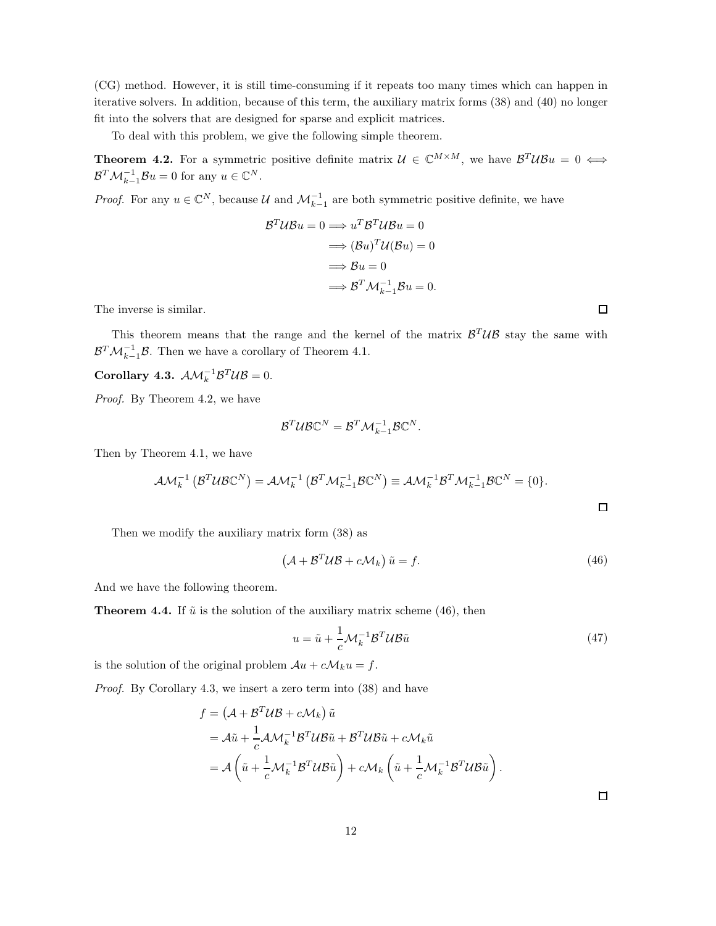(CG) method. However, it is still time-consuming if it repeats too many times which can happen in iterative solvers. In addition, because of this term, the auxiliary matrix forms (38) and (40) no longer fit into the solvers that are designed for sparse and explicit matrices.

To deal with this problem, we give the following simple theorem.

**Theorem 4.2.** For a symmetric positive definite matrix  $\mathcal{U} \in \mathbb{C}^{M \times M}$ , we have  $\mathcal{B}^{T} \mathcal{U} \mathcal{B} u = 0 \Leftrightarrow$  $\mathcal{B}^T \mathcal{M}_{k-1}^{-1} \mathcal{B} u = 0$  for any  $u \in \mathbb{C}^N$ .

*Proof.* For any  $u \in \mathbb{C}^N$ , because U and  $\mathcal{M}_{k-1}^{-1}$  are both symmetric positive definite, we have

$$
\mathcal{B}^T \mathcal{U} \mathcal{B} u = 0 \Longrightarrow u^T \mathcal{B}^T \mathcal{U} \mathcal{B} u = 0
$$

$$
\Longrightarrow (\mathcal{B} u)^T \mathcal{U} (\mathcal{B} u) = 0
$$

$$
\Longrightarrow \mathcal{B} u = 0
$$

$$
\Longrightarrow \mathcal{B}^T \mathcal{M}_{k-1}^{-1} \mathcal{B} u = 0.
$$

The inverse is similar.

This theorem means that the range and the kernel of the matrix  $\mathcal{B}^T \mathcal{UB}$  stay the same with  $\mathcal{B}^T \mathcal{M}_{k-1}^{-1} \mathcal{B}$ . Then we have a corollary of Theorem 4.1.

Corollary 4.3.  $\mathcal{AM}_k^{-1} \mathcal{B}^T \mathcal{UB} = 0.$ 

*Proof.* By Theorem 4.2, we have

$$
\mathcal{B}^T\mathcal{U}\mathcal{B}\mathbb{C}^N=\mathcal{B}^T\mathcal{M}^{-1}_{k-1}\mathcal{B}\mathbb{C}^N.
$$

Then by Theorem 4.1, we have

$$
\mathcal{AM}_k^{-1}(\mathcal{B}^T \mathcal{UBC}^N) = \mathcal{AM}_k^{-1}(\mathcal{B}^T \mathcal{M}_{k-1}^{-1} \mathcal{B} \mathbb{C}^N) \equiv \mathcal{AM}_k^{-1} \mathcal{B}^T \mathcal{M}_{k-1}^{-1} \mathcal{B} \mathbb{C}^N = \{0\}.
$$

Then we modify the auxiliary matrix form (38) as

$$
\left(\mathcal{A} + \mathcal{B}^T \mathcal{U} \mathcal{B} + c \mathcal{M}_k\right) \tilde{u} = f.
$$
\n(46)

And we have the following theorem.

**Theorem 4.4.** If  $\tilde{u}$  is the solution of the auxiliary matrix scheme (46), then

$$
u = \tilde{u} + \frac{1}{c} \mathcal{M}_k^{-1} \mathcal{B}^T \mathcal{U} \mathcal{B} \tilde{u}
$$
\n
$$
\tag{47}
$$

is the solution of the original problem  $Au + c\mathcal{M}_k u = f$ .

*Proof.* By Corollary 4.3, we insert a zero term into (38) and have

$$
f = (\mathcal{A} + \mathcal{B}^T \mathcal{U} \mathcal{B} + c \mathcal{M}_k) \tilde{u}
$$
  
=  $\mathcal{A}\tilde{u} + \frac{1}{c} \mathcal{A} \mathcal{M}_k^{-1} \mathcal{B}^T \mathcal{U} \mathcal{B} \tilde{u} + \mathcal{B}^T \mathcal{U} \mathcal{B} \tilde{u} + c \mathcal{M}_k \tilde{u}$   
=  $\mathcal{A} \left( \tilde{u} + \frac{1}{c} \mathcal{M}_k^{-1} \mathcal{B}^T \mathcal{U} \mathcal{B} \tilde{u} \right) + c \mathcal{M}_k \left( \tilde{u} + \frac{1}{c} \mathcal{M}_k^{-1} \mathcal{B}^T \mathcal{U} \mathcal{B} \tilde{u} \right).$ 

 $\Box$ 

 $\Box$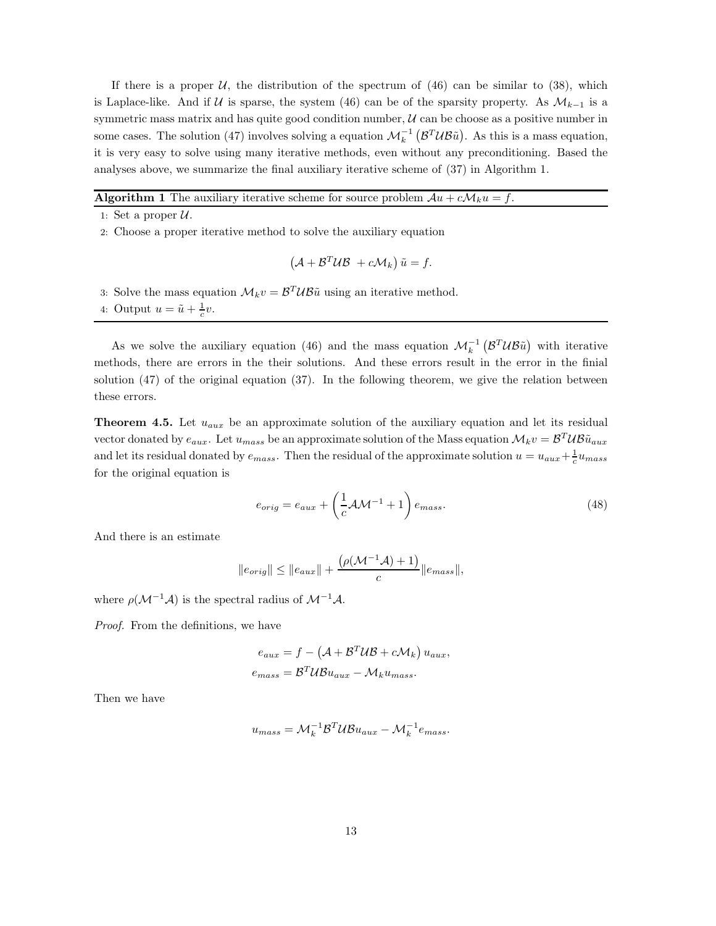If there is a proper U, the distribution of the spectrum of  $(46)$  can be similar to  $(38)$ , which is Laplace-like. And if U is sparse, the system (46) can be of the sparsity property. As  $\mathcal{M}_{k-1}$  is a symmetric mass matrix and has quite good condition number,  $U$  can be choose as a positive number in some cases. The solution (47) involves solving a equation  $\mathcal{M}_k^{-1}(\mathcal{B}^T \mathcal{U} \mathcal{B} \tilde{u})$ . As this is a mass equation, it is very easy to solve using many iterative methods, even without any preconditioning. Based the analyses above, we summarize the final auxiliary iterative scheme of (37) in Algorithm 1.

**Algorithm 1** The auxiliary iterative scheme for source problem  $Au + cM_ku = f$ .

1: Set a proper  $\mathcal{U}$ .

2: Choose a proper iterative method to solve the auxiliary equation

$$
\left(\mathcal{A} + \mathcal{B}^T \mathcal{U} \mathcal{B} \ + c \mathcal{M}_k\right) \tilde{u} = f.
$$

- 3: Solve the mass equation  $\mathcal{M}_k v = \mathcal{B}^T \mathcal{U} \mathcal{B} \tilde{u}$  using an iterative method.
- 4: Output  $u = \tilde{u} + \frac{1}{c}v$ .

As we solve the auxiliary equation (46) and the mass equation  $\mathcal{M}_k^{-1}(\mathcal{B}^T \mathcal{U} \mathcal{B} \tilde{u})$  with iterative methods, there are errors in the their solutions. And these errors result in the error in the finial solution  $(47)$  of the original equation  $(37)$ . In the following theorem, we give the relation between these errors.

**Theorem 4.5.** Let  $u_{aux}$  be an approximate solution of the auxiliary equation and let its residual vector donated by  $e_{aux}$ . Let  $u_{mass}$  be an approximate solution of the Mass equation  $\mathcal{M}_kv = \mathcal{B}^T \mathcal{U} \mathcal{B} \tilde{u}_{aux}$ and let its residual donated by  $e_{mass}$ . Then the residual of the approximate solution  $u = u_{aux} + \frac{1}{c}u_{mass}$ for the original equation is

$$
e_{orig} = e_{aux} + \left(\frac{1}{c}\mathcal{A}\mathcal{M}^{-1} + 1\right)e_{mass}.
$$
\n(48)

And there is an estimate

$$
||e_{orig}|| \le ||e_{aux}|| + \frac{(\rho(\mathcal{M}^{-1}\mathcal{A}) + 1)}{c}||e_{mass}||,
$$

where  $\rho(\mathcal{M}^{-1}\mathcal{A})$  is the spectral radius of  $\mathcal{M}^{-1}\mathcal{A}$ .

*Proof.* From the definitions, we have

$$
e_{aux} = f - (A + B^T U B + c M_k) u_{aux},
$$
  

$$
e_{mass} = B^T U B u_{aux} - M_k u_{mass}.
$$

Then we have

$$
u_{mass} = \mathcal{M}_k^{-1} \mathcal{B}^T \mathcal{U} \mathcal{B} u_{aux} - \mathcal{M}_k^{-1} e_{mass}.
$$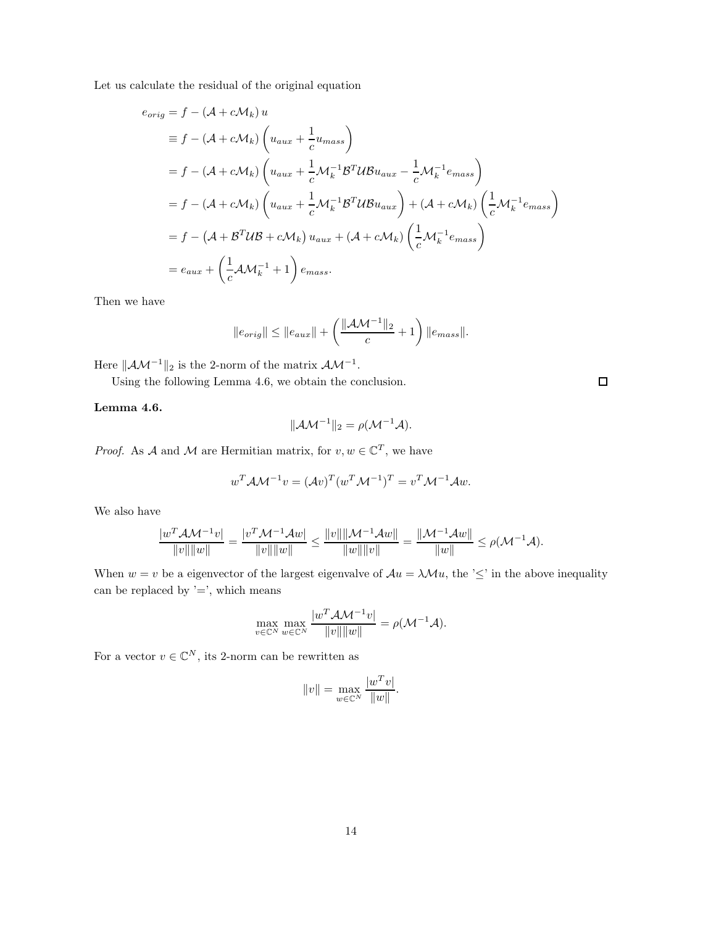Let us calculate the residual of the original equation

$$
e_{orig} = f - (\mathcal{A} + c\mathcal{M}_k) u
$$
  
\n
$$
\equiv f - (\mathcal{A} + c\mathcal{M}_k) \left( u_{aux} + \frac{1}{c} u_{mass} \right)
$$
  
\n
$$
= f - (\mathcal{A} + c\mathcal{M}_k) \left( u_{aux} + \frac{1}{c} \mathcal{M}_k^{-1} \mathcal{B}^T \mathcal{U} \mathcal{B} u_{aux} - \frac{1}{c} \mathcal{M}_k^{-1} e_{mass} \right)
$$
  
\n
$$
= f - (\mathcal{A} + c\mathcal{M}_k) \left( u_{aux} + \frac{1}{c} \mathcal{M}_k^{-1} \mathcal{B}^T \mathcal{U} \mathcal{B} u_{aux} \right) + (\mathcal{A} + c\mathcal{M}_k) \left( \frac{1}{c} \mathcal{M}_k^{-1} e_{mass} \right)
$$
  
\n
$$
= f - (\mathcal{A} + \mathcal{B}^T \mathcal{U} \mathcal{B} + c\mathcal{M}_k) u_{aux} + (\mathcal{A} + c\mathcal{M}_k) \left( \frac{1}{c} \mathcal{M}_k^{-1} e_{mass} \right)
$$
  
\n
$$
= e_{aux} + \left( \frac{1}{c} \mathcal{A} \mathcal{M}_k^{-1} + 1 \right) e_{mass}.
$$

Then we have

$$
\|e_{orig}\| \leq \|e_{aux}\| + \left(\frac{\|\mathcal{A}\mathcal{M}^{-1}\|_2}{c} + 1\right) \|e_{mass}\|.
$$

Here  $\|\mathcal{A}\mathcal{M}^{-1}\|_2$  is the 2-norm of the matrix  $\mathcal{A}\mathcal{M}^{-1}$ .

Using the following Lemma 4.6, we obtain the conclusion.

Lemma 4.6.

$$
\|\mathcal{A}\mathcal{M}^{-1}\|_2 = \rho(\mathcal{M}^{-1}\mathcal{A}).
$$

*Proof.* As A and M are Hermitian matrix, for  $v, w \in \mathbb{C}^T$ , we have

$$
w^T A \mathcal{M}^{-1} v = (\mathcal{A} v)^T (w^T \mathcal{M}^{-1})^T = v^T \mathcal{M}^{-1} \mathcal{A} w.
$$

We also have

$$
\frac{|w^T\mathcal{A}\mathcal{M}^{-1}v|}{\|v\|\|w\|} = \frac{|v^T\mathcal{M}^{-1}\mathcal{A}w|}{\|v\|\|w\|} \le \frac{\|v\|\|\mathcal{M}^{-1}\mathcal{A}w\|}{\|w\|\|v\|} = \frac{\|\mathcal{M}^{-1}\mathcal{A}w\|}{\|w\|} \le \rho(\mathcal{M}^{-1}\mathcal{A}).
$$

When  $w = v$  be a eigenvector of the largest eigenvalve of  $Au = \lambda Mu$ , the ' $\leq$ ' in the above inequality can be replaced by  $i$  =', which means

$$
\max_{v \in \mathbb{C}^N} \max_{w \in \mathbb{C}^N} \frac{|w^T \mathcal{A} \mathcal{M}^{-1} v|}{\|v\| \|w\|} = \rho(\mathcal{M}^{-1} \mathcal{A}).
$$

For a vector  $v \in \mathbb{C}^N$ , its 2-norm can be rewritten as

$$
||v|| = \max_{w \in \mathbb{C}^N} \frac{|w^T v|}{||w||}.
$$

 $\Box$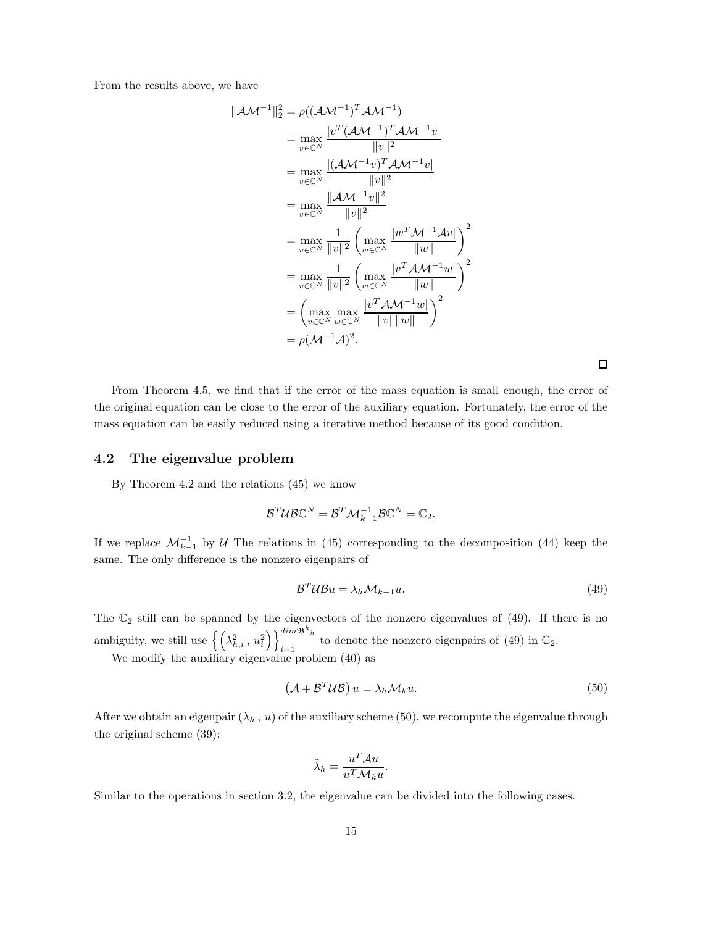From the results above, we have

$$
||\mathcal{A}\mathcal{M}^{-1}||_2^2 = \rho((\mathcal{A}\mathcal{M}^{-1})^T \mathcal{A}\mathcal{M}^{-1})
$$
  
\n
$$
= \max_{v \in \mathbb{C}^N} \frac{|v^T (\mathcal{A}\mathcal{M}^{-1})^T \mathcal{A}\mathcal{M}^{-1}v|}{||v||^2}
$$
  
\n
$$
= \max_{v \in \mathbb{C}^N} \frac{|(\mathcal{A}\mathcal{M}^{-1}v)^T \mathcal{A}\mathcal{M}^{-1}v|}{||v||^2}
$$
  
\n
$$
= \max_{v \in \mathbb{C}^N} \frac{||\mathcal{A}\mathcal{M}^{-1}v||^2}{||v||^2}
$$
  
\n
$$
= \max_{v \in \mathbb{C}^N} \frac{1}{||v||^2} \left( \max_{w \in \mathbb{C}^N} \frac{|w^T \mathcal{M}^{-1} \mathcal{A}v|}{||w||} \right)^2
$$
  
\n
$$
= \max_{v \in \mathbb{C}^N} \frac{1}{||v||^2} \left( \max_{w \in \mathbb{C}^N} \frac{|v^T \mathcal{A}\mathcal{M}^{-1}w|}{||w||} \right)^2
$$
  
\n
$$
= \left( \max_{v \in \mathbb{C}^N} \max_{w \in \mathbb{C}^N} \frac{|v^T \mathcal{A}\mathcal{M}^{-1}w|}{||v|| ||w||} \right)^2
$$
  
\n
$$
= \rho(\mathcal{M}^{-1}\mathcal{A})^2.
$$

 $\Box$ 

From Theorem 4.5, we find that if the error of the mass equation is small enough, the error of the original equation can be close to the error of the auxiliary equation. Fortunately, the error of the mass equation can be easily reduced using a iterative method because of its good condition.

## 4.2 The eigenvalue problem

By Theorem 4.2 and the relations (45) we know

$$
\mathcal{B}^T\mathcal{U}\mathcal{B}\mathbb{C}^N=\mathcal{B}^T\mathcal{M}^{-1}_{k-1}\mathcal{B}\mathbb{C}^N=\mathbb{C}_2.
$$

If we replace  $\mathcal{M}_{k-1}^{-1}$  by U The relations in (45) corresponding to the decomposition (44) keep the same. The only difference is the nonzero eigenpairs of

$$
\mathcal{B}^T \mathcal{U} \mathcal{B} u = \lambda_h \mathcal{M}_{k-1} u. \tag{49}
$$

The  $\mathbb{C}_2$  still can be spanned by the eigenvectors of the nonzero eigenvalues of (49). If there is no ambiguity, we still use  $\left\{ \left( \lambda_{h,i}^2, u_i^2 \right) \right\}_{i=1}^{dim \mathfrak{B}^k h}$  $\sum_{i=1}^{n}$  to denote the nonzero eigenpairs of (49) in  $\mathbb{C}_2$ .

We modify the auxiliary eigenvalue problem (40) as

$$
\left(\mathcal{A} + \mathcal{B}^T \mathcal{U} \mathcal{B}\right) u = \lambda_h \mathcal{M}_k u. \tag{50}
$$

After we obtain an eigenpair  $(\lambda_h, u)$  of the auxiliary scheme (50), we recompute the eigenvalue through the original scheme (39):

$$
\tilde{\lambda}_h = \frac{u^T A u}{u^T \mathcal{M}_k u}.
$$

Similar to the operations in section 3.2, the eigenvalue can be divided into the following cases.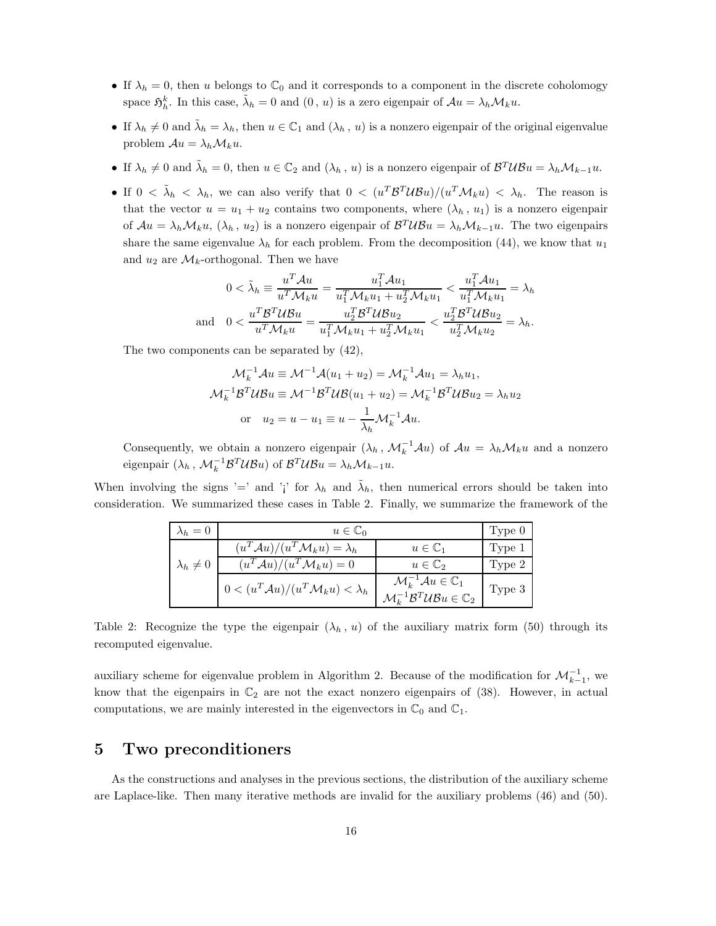- If  $\lambda_h = 0$ , then u belongs to  $\mathbb{C}_0$  and it corresponds to a component in the discrete coholomogy space  $\mathfrak{H}^k_h$ . In this case,  $\tilde{\lambda}_h = 0$  and  $(0, u)$  is a zero eigenpair of  $Au = \lambda_h \mathcal{M}_k u$ .
- If  $\lambda_h \neq 0$  and  $\tilde{\lambda}_h = \lambda_h$ , then  $u \in \mathbb{C}_1$  and  $(\lambda_h, u)$  is a nonzero eigenpair of the original eigenvalue problem  $\mathcal{A}u = \lambda_h \mathcal{M}_k u$ .
- If  $\lambda_h \neq 0$  and  $\tilde{\lambda}_h = 0$ , then  $u \in \mathbb{C}_2$  and  $(\lambda_h, u)$  is a nonzero eigenpair of  $\mathcal{B}^T \mathcal{U} \mathcal{B} u = \lambda_h \mathcal{M}_{k-1} u$ .
- If  $0 < \tilde{\lambda}_h < \lambda_h$ , we can also verify that  $0 < (u^T \mathcal{B}^T \mathcal{U} \mathcal{B} u)/(u^T \mathcal{M}_k u) < \lambda_h$ . The reason is that the vector  $u = u_1 + u_2$  contains two components, where  $(\lambda_h, u_1)$  is a nonzero eigenpair of  $Au = \lambda_h \mathcal{M}_k u$ ,  $(\lambda_h, u_2)$  is a nonzero eigenpair of  $\mathcal{B}^T \mathcal{U} \mathcal{B} u = \lambda_h \mathcal{M}_{k-1} u$ . The two eigenpairs share the same eigenvalue  $\lambda_h$  for each problem. From the decomposition (44), we know that  $u_1$ and  $u_2$  are  $\mathcal{M}_k$ -orthogonal. Then we have

$$
0 < \tilde{\lambda}_h \equiv \frac{u^T \mathcal{A} u}{u^T \mathcal{M}_k u} = \frac{u_1^T \mathcal{A} u_1}{u_1^T \mathcal{M}_k u_1 + u_2^T \mathcal{M}_k u_1} < \frac{u_1^T \mathcal{A} u_1}{u_1^T \mathcal{M}_k u_1} = \lambda_h
$$
\nand

\n
$$
0 < \frac{u^T \mathcal{B}^T \mathcal{U} \mathcal{B} u}{u^T \mathcal{M}_k u} = \frac{u_2^T \mathcal{B}^T \mathcal{U} \mathcal{B} u_2}{u_1^T \mathcal{M}_k u_1 + u_2^T \mathcal{M}_k u_1} < \frac{u_2^T \mathcal{B}^T \mathcal{U} \mathcal{B} u_2}{u_2^T \mathcal{M}_k u_2} = \lambda_h.
$$

The two components can be separated by (42),

$$
\mathcal{M}_k^{-1} \mathcal{A} u \equiv \mathcal{M}^{-1} \mathcal{A} (u_1 + u_2) = \mathcal{M}_k^{-1} \mathcal{A} u_1 = \lambda_h u_1,
$$
  

$$
\mathcal{M}_k^{-1} \mathcal{B}^T \mathcal{U} \mathcal{B} u \equiv \mathcal{M}^{-1} \mathcal{B}^T \mathcal{U} \mathcal{B} (u_1 + u_2) = \mathcal{M}_k^{-1} \mathcal{B}^T \mathcal{U} \mathcal{B} u_2 = \lambda_h u_2
$$
  
or  $u_2 = u - u_1 \equiv u - \frac{1}{\lambda_h} \mathcal{M}_k^{-1} \mathcal{A} u.$ 

Consequently, we obtain a nonzero eigenpair  $(\lambda_h, \mathcal{M}_k^{-1} \mathcal{A} u)$  of  $\mathcal{A}u = \lambda_h \mathcal{M}_k u$  and a nonzero eigenpair  $(\lambda_h, \mathcal{M}_k^{-1} \mathcal{B}^T \mathcal{U} \mathcal{B} u)$  of  $\mathcal{B}^T \mathcal{U} \mathcal{B} u = \lambda_h \mathcal{M}_{k-1} u$ .

When involving the signs '=' and '<sub>i</sub>' for  $\lambda_h$  and  $\tilde{\lambda}_h$ , then numerical errors should be taken into consideration. We summarized these cases in Table 2. Finally, we summarize the framework of the

| $\lambda_h=0$      | $u \in \mathbb{C}_0$                                       |                                                                                                                                      | Type 0 |
|--------------------|------------------------------------------------------------|--------------------------------------------------------------------------------------------------------------------------------------|--------|
|                    | $(u^T \mathcal{A} u)/(u^T \mathcal{M}_k u) = \lambda_h$    | $u \in \mathbb{C}_1$                                                                                                                 | Type 1 |
| $\lambda_h \neq 0$ | $(u^T \mathcal{A} u)/(u^T \mathcal{M}_k u) = 0$            | $u \in \mathbb{C}_2$                                                                                                                 | Type 2 |
|                    | $0 < (u^T \mathcal{A}u)/(u^T \mathcal{M}_k u) < \lambda_h$ | $\mathcal{M}_k^{-1} \mathcal{A} u \in \mathbb{C}_1$<br>$\mathcal{M}_k^{-1} \mathcal{B}^T \mathcal{U} \mathcal{B} u \in \mathbb{C}_2$ | Type 3 |

Table 2: Recognize the type the eigenpair  $(\lambda_h, u)$  of the auxiliary matrix form (50) through its recomputed eigenvalue.

auxiliary scheme for eigenvalue problem in Algorithm 2. Because of the modification for  $\mathcal{M}_{k-1}^{-1}$ , we know that the eigenpairs in  $\mathbb{C}_2$  are not the exact nonzero eigenpairs of (38). However, in actual computations, we are mainly interested in the eigenvectors in  $\mathbb{C}_0$  and  $\mathbb{C}_1$ .

## 5 Two preconditioners

As the constructions and analyses in the previous sections, the distribution of the auxiliary scheme are Laplace-like. Then many iterative methods are invalid for the auxiliary problems (46) and (50).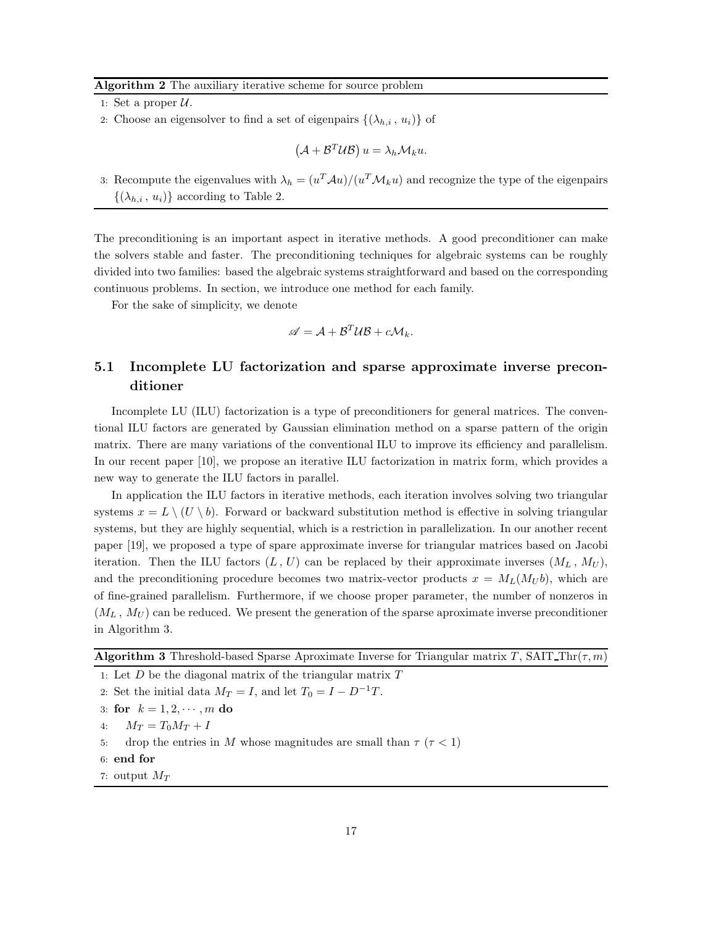#### Algorithm 2 The auxiliary iterative scheme for source problem

- 1: Set a proper  $U$ .
- 2: Choose an eigensolver to find a set of eigenpairs  $\{(\lambda_{h,i}, u_i)\}\$  of

$$
(\mathcal{A} + \mathcal{B}^T \mathcal{U} \mathcal{B}) u = \lambda_h \mathcal{M}_k u.
$$

3: Recompute the eigenvalues with  $\lambda_h = (u^T \mathcal{A}u)/(u^T \mathcal{M}_k u)$  and recognize the type of the eigenpairs  $\{(\lambda_{h,i}, u_i)\}\)$  according to Table 2.

The preconditioning is an important aspect in iterative methods. A good preconditioner can make the solvers stable and faster. The preconditioning techniques for algebraic systems can be roughly divided into two families: based the algebraic systems straightforward and based on the corresponding continuous problems. In section, we introduce one method for each family.

For the sake of simplicity, we denote

$$
\mathscr{A} = \mathcal{A} + \mathcal{B}^T \mathcal{U} \mathcal{B} + c \mathcal{M}_k.
$$

# 5.1 Incomplete LU factorization and sparse approximate inverse preconditioner

Incomplete LU (ILU) factorization is a type of preconditioners for general matrices. The conventional ILU factors are generated by Gaussian elimination method on a sparse pattern of the origin matrix. There are many variations of the conventional ILU to improve its efficiency and parallelism. In our recent paper [10], we propose an iterative ILU factorization in matrix form, which provides a new way to generate the ILU factors in parallel.

In application the ILU factors in iterative methods, each iteration involves solving two triangular systems  $x = L \setminus (U \setminus b)$ . Forward or backward substitution method is effective in solving triangular systems, but they are highly sequential, which is a restriction in parallelization. In our another recent paper [19], we proposed a type of spare approximate inverse for triangular matrices based on Jacobi iteration. Then the ILU factors  $(L, U)$  can be replaced by their approximate inverses  $(M_L, M_U)$ , and the preconditioning procedure becomes two matrix-vector products  $x = M_L(M_U b)$ , which are of fine-grained parallelism. Furthermore, if we choose proper parameter, the number of nonzeros in  $(M_L, M_U)$  can be reduced. We present the generation of the sparse aproximate inverse preconditioner in Algorithm 3.

**Algorithm 3** Threshold-based Sparse Aproximate Inverse for Triangular matrix T, SAIT Thr( $\tau$ , m)

- 1: Let  $D$  be the diagonal matrix of the triangular matrix  $T$
- 2: Set the initial data  $M_T = I$ , and let  $T_0 = I D^{-1}T$ .
- 3: for  $k = 1, 2, \dots, m$  do
- 4:  $M_T = T_0 M_T + I$
- 5: drop the entries in M whose magnitudes are small than  $\tau$  ( $\tau$  < 1)
- 6: end for
- 7: output  $M_T$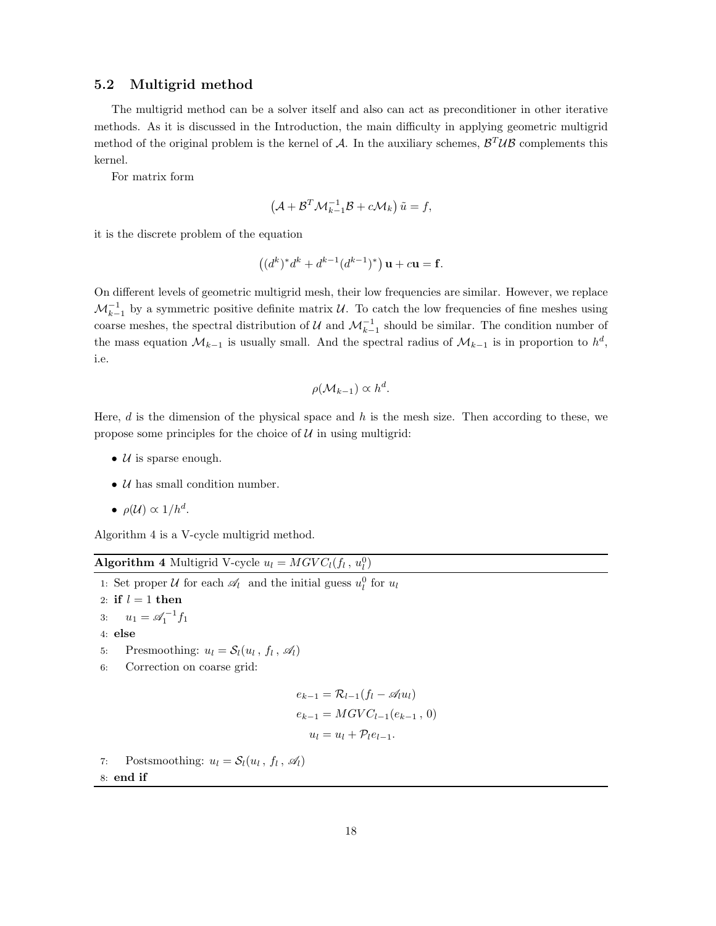#### 5.2 Multigrid method

The multigrid method can be a solver itself and also can act as preconditioner in other iterative methods. As it is discussed in the Introduction, the main difficulty in applying geometric multigrid method of the original problem is the kernel of A. In the auxiliary schemes,  $\mathcal{B}^T \mathcal{U} \mathcal{B}$  complements this kernel.

For matrix form

$$
\left(\mathcal{A} + \mathcal{B}^T \mathcal{M}_{k-1}^{-1} \mathcal{B} + c \mathcal{M}_k\right) \tilde{u} = f,
$$

it is the discrete problem of the equation

$$
((d^k)^*d^k + d^{k-1}(d^{k-1})^*)
$$
**u** + c**u** = **f**.

On different levels of geometric multigrid mesh, their low frequencies are similar. However, we replace  $\mathcal{M}_{k-1}^{-1}$  by a symmetric positive definite matrix  $\mathcal{U}$ . To catch the low frequencies of fine meshes using coarse meshes, the spectral distribution of  $\mathcal U$  and  $\mathcal M_{k-1}^{-1}$  should be similar. The condition number of the mass equation  $\mathcal{M}_{k-1}$  is usually small. And the spectral radius of  $\mathcal{M}_{k-1}$  is in proportion to  $h^d$ , i.e.

$$
\rho(\mathcal{M}_{k-1}) \propto h^d.
$$

Here,  $d$  is the dimension of the physical space and  $h$  is the mesh size. Then according to these, we propose some principles for the choice of  $U$  in using multigrid:

- $U$  is sparse enough.
- $U$  has small condition number.
- $\rho(\mathcal{U}) \propto 1/h^d$ .

Algorithm 4 is a V-cycle multigrid method.

## **Algorithm 4** Multigrid V-cycle  $u_l = MGVC_l(f_l, u_l^0)$

1: Set proper U for each  $\mathcal{A}_l$  and the initial guess  $u_l^0$  for  $u_l$ 2: if  $l = 1$  then 3:  $u_1 = \mathscr{A}_1^{-1} f_1$ 4: else 5: Presmoothing:  $u_l = S_l(u_l, f_l, \mathcal{A}_l)$ 6: Correction on coarse grid:  $e_{k-1} = \mathcal{R}_{l-1}(f_l - \mathcal{A}_l u_l)$  $e_{k-1} = MGVC_{l-1}(e_{k-1}, 0)$  $u_l = u_l + \mathcal{P}_l e_{l-1}.$ 7: Postsmoothing:  $u_l = \mathcal{S}_l(u_l, f_l, \mathcal{A}_l)$ 8: end if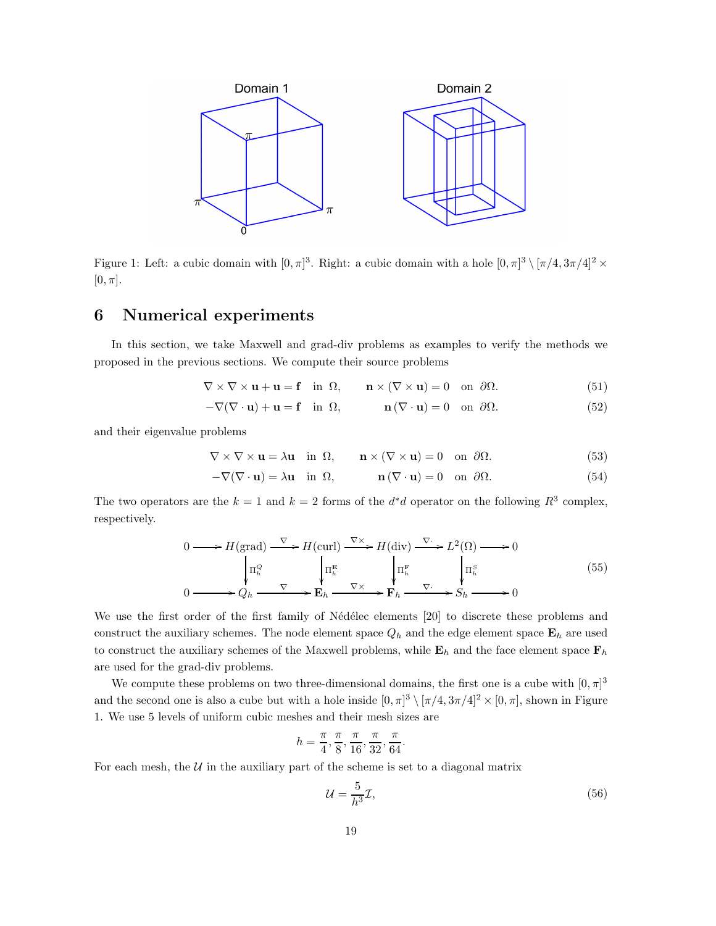

Figure 1: Left: a cubic domain with  $[0, \pi]^3$ . Right: a cubic domain with a hole  $[0, \pi]^3 \setminus [\pi/4, 3\pi/4]^2 \times$  $[0, \pi]$ .

## 6 Numerical experiments

In this section, we take Maxwell and grad-div problems as examples to verify the methods we proposed in the previous sections. We compute their source problems

$$
\nabla \times \nabla \times \mathbf{u} + \mathbf{u} = \mathbf{f} \quad \text{in } \Omega, \qquad \mathbf{n} \times (\nabla \times \mathbf{u}) = 0 \quad \text{on } \partial \Omega. \tag{51}
$$

$$
-\nabla(\nabla \cdot \mathbf{u}) + \mathbf{u} = \mathbf{f} \quad \text{in } \Omega, \qquad \mathbf{n}(\nabla \cdot \mathbf{u}) = 0 \quad \text{on } \partial \Omega. \tag{52}
$$

and their eigenvalue problems

$$
\nabla \times \nabla \times \mathbf{u} = \lambda \mathbf{u} \quad \text{in } \Omega, \qquad \mathbf{n} \times (\nabla \times \mathbf{u}) = 0 \quad \text{on } \partial \Omega. \tag{53}
$$

$$
-\nabla(\nabla \cdot \mathbf{u}) = \lambda \mathbf{u} \quad \text{in } \Omega, \qquad \mathbf{n}(\nabla \cdot \mathbf{u}) = 0 \quad \text{on } \partial \Omega. \tag{54}
$$

The two operators are the  $k = 1$  and  $k = 2$  forms of the  $d^*d$  operator on the following  $R^3$  complex, respectively.

$$
0 \longrightarrow H(\text{grad}) \xrightarrow{\nabla} H(\text{curl}) \xrightarrow{\nabla \times} H(\text{div}) \xrightarrow{\nabla} L^{2}(\Omega) \longrightarrow 0
$$
  
\n
$$
\downarrow \Pi_{h}^{Q} \qquad \qquad \downarrow \Pi_{h}^{E} \qquad \qquad \downarrow \Pi_{h}^{F} \qquad \qquad \downarrow \Pi_{h}^{S}
$$
  
\n
$$
0 \longrightarrow Q_{h} \xrightarrow{\nabla} E_{h} \xrightarrow{\nabla \times} F_{h} \xrightarrow{\nabla} S_{h} \longrightarrow 0
$$
  
\n(55)

We use the first order of the first family of Nédélec elements [20] to discrete these problems and construct the auxiliary schemes. The node element space  $Q_h$  and the edge element space  $\mathbf{E}_h$  are used to construct the auxiliary schemes of the Maxwell problems, while  $\mathbf{E}_h$  and the face element space  $\mathbf{F}_h$ are used for the grad-div problems.

We compute these problems on two three-dimensional domains, the first one is a cube with  $[0, \pi]^3$ and the second one is also a cube but with a hole inside  $[0, \pi]^3 \setminus [\pi/4, 3\pi/4]^2 \times [0, \pi]$ , shown in Figure 1. We use 5 levels of uniform cubic meshes and their mesh sizes are

$$
h = \frac{\pi}{4}, \frac{\pi}{8}, \frac{\pi}{16}, \frac{\pi}{32}, \frac{\pi}{64}.
$$

For each mesh, the  $U$  in the auxiliary part of the scheme is set to a diagonal matrix

$$
\mathcal{U} = \frac{5}{h^3} \mathcal{I},\tag{56}
$$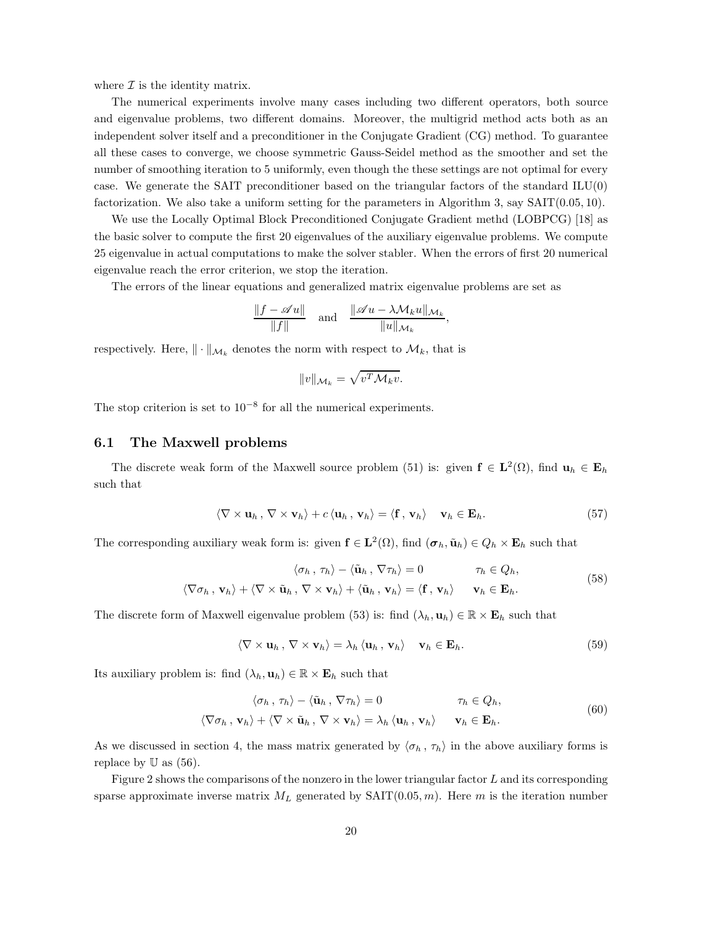where  $\mathcal I$  is the identity matrix.

The numerical experiments involve many cases including two different operators, both source and eigenvalue problems, two different domains. Moreover, the multigrid method acts both as an independent solver itself and a preconditioner in the Conjugate Gradient (CG) method. To guarantee all these cases to converge, we choose symmetric Gauss-Seidel method as the smoother and set the number of smoothing iteration to 5 uniformly, even though the these settings are not optimal for every case. We generate the SAIT preconditioner based on the triangular factors of the standard ILU(0) factorization. We also take a uniform setting for the parameters in Algorithm 3, say SAIT(0.05, 10).

We use the Locally Optimal Block Preconditioned Conjugate Gradient methd (LOBPCG) [18] as the basic solver to compute the first 20 eigenvalues of the auxiliary eigenvalue problems. We compute 25 eigenvalue in actual computations to make the solver stabler. When the errors of first 20 numerical eigenvalue reach the error criterion, we stop the iteration.

The errors of the linear equations and generalized matrix eigenvalue problems are set as

$$
\frac{\|f - \mathscr{A}u\|}{\|f\|} \quad \text{and} \quad \frac{\|\mathscr{A}u - \lambda \mathcal{M}_k u\|_{\mathcal{M}_k}}{\|u\|_{\mathcal{M}_k}},
$$

respectively. Here,  $\|\cdot\|_{\mathcal{M}_k}$  denotes the norm with respect to  $\mathcal{M}_k$ , that is

$$
||v||_{\mathcal{M}_k} = \sqrt{v^T \mathcal{M}_k v}.
$$

The stop criterion is set to  $10^{-8}$  for all the numerical experiments.

## 6.1 The Maxwell problems

The discrete weak form of the Maxwell source problem (51) is: given  $f \in L^2(\Omega)$ , find  $u_h \in E_h$ such that

$$
\langle \nabla \times \mathbf{u}_h, \nabla \times \mathbf{v}_h \rangle + c \langle \mathbf{u}_h, \mathbf{v}_h \rangle = \langle \mathbf{f}, \mathbf{v}_h \rangle \quad \mathbf{v}_h \in \mathbf{E}_h. \tag{57}
$$

The corresponding auxiliary weak form is: given  $f \in L^2(\Omega)$ , find  $(\sigma_h, \tilde{u}_h) \in Q_h \times E_h$  such that

$$
\langle \sigma_h, \tau_h \rangle - \langle \tilde{\mathbf{u}}_h, \nabla \tau_h \rangle = 0 \qquad \tau_h \in Q_h,
$$
  

$$
\langle \nabla \sigma_h, \mathbf{v}_h \rangle + \langle \nabla \times \tilde{\mathbf{u}}_h, \nabla \times \mathbf{v}_h \rangle + \langle \tilde{\mathbf{u}}_h, \mathbf{v}_h \rangle = \langle \mathbf{f}, \mathbf{v}_h \rangle \qquad \mathbf{v}_h \in \mathbf{E}_h.
$$
 (58)

The discrete form of Maxwell eigenvalue problem (53) is: find  $(\lambda_h, \mathbf{u}_h) \in \mathbb{R} \times \mathbf{E}_h$  such that

$$
\langle \nabla \times \mathbf{u}_h, \nabla \times \mathbf{v}_h \rangle = \lambda_h \langle \mathbf{u}_h, \mathbf{v}_h \rangle \quad \mathbf{v}_h \in \mathbf{E}_h. \tag{59}
$$

Its auxiliary problem is: find  $(\lambda_h, \mathbf{u}_h) \in \mathbb{R} \times \mathbf{E}_h$  such that

$$
\langle \sigma_h, \tau_h \rangle - \langle \tilde{\mathbf{u}}_h, \nabla \tau_h \rangle = 0 \qquad \tau_h \in Q_h,
$$
  

$$
\langle \nabla \sigma_h, \mathbf{v}_h \rangle + \langle \nabla \times \tilde{\mathbf{u}}_h, \nabla \times \mathbf{v}_h \rangle = \lambda_h \langle \mathbf{u}_h, \mathbf{v}_h \rangle \qquad \mathbf{v}_h \in \mathbf{E}_h.
$$
 (60)

As we discussed in section 4, the mass matrix generated by  $\langle \sigma_h, \tau_h \rangle$  in the above auxiliary forms is replace by  $\mathbb U$  as (56).

Figure 2 shows the comparisons of the nonzero in the lower triangular factor L and its corresponding sparse approximate inverse matrix  $M_L$  generated by  $SATT(0.05, m)$ . Here m is the iteration number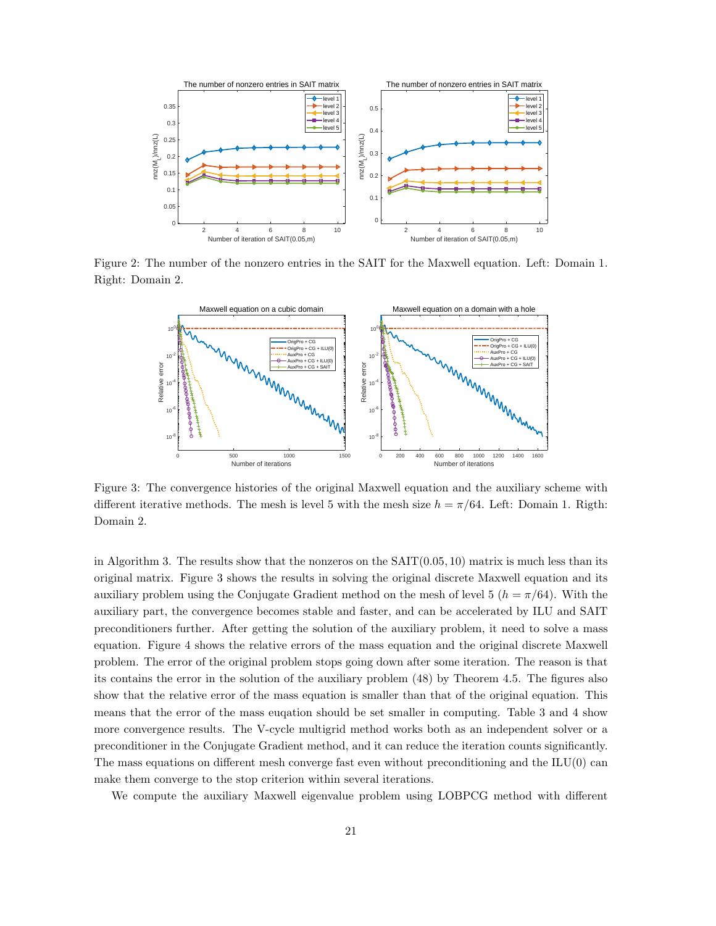

Figure 2: The number of the nonzero entries in the SAIT for the Maxwell equation. Left: Domain 1. Right: Domain 2.



Figure 3: The convergence histories of the original Maxwell equation and the auxiliary scheme with different iterative methods. The mesh is level 5 with the mesh size  $h = \pi/64$ . Left: Domain 1. Rigth: Domain 2.

in Algorithm 3. The results show that the nonzeros on the  $SAIT(0.05, 10)$  matrix is much less than its original matrix. Figure 3 shows the results in solving the original discrete Maxwell equation and its auxiliary problem using the Conjugate Gradient method on the mesh of level 5 ( $h = \pi/64$ ). With the auxiliary part, the convergence becomes stable and faster, and can be accelerated by ILU and SAIT preconditioners further. After getting the solution of the auxiliary problem, it need to solve a mass equation. Figure 4 shows the relative errors of the mass equation and the original discrete Maxwell problem. The error of the original problem stops going down after some iteration. The reason is that its contains the error in the solution of the auxiliary problem (48) by Theorem 4.5. The figures also show that the relative error of the mass equation is smaller than that of the original equation. This means that the error of the mass euqation should be set smaller in computing. Table 3 and 4 show more convergence results. The V-cycle multigrid method works both as an independent solver or a preconditioner in the Conjugate Gradient method, and it can reduce the iteration counts significantly. The mass equations on different mesh converge fast even without preconditioning and the  $ILU(0)$  can make them converge to the stop criterion within several iterations.

We compute the auxiliary Maxwell eigenvalue problem using LOBPCG method with different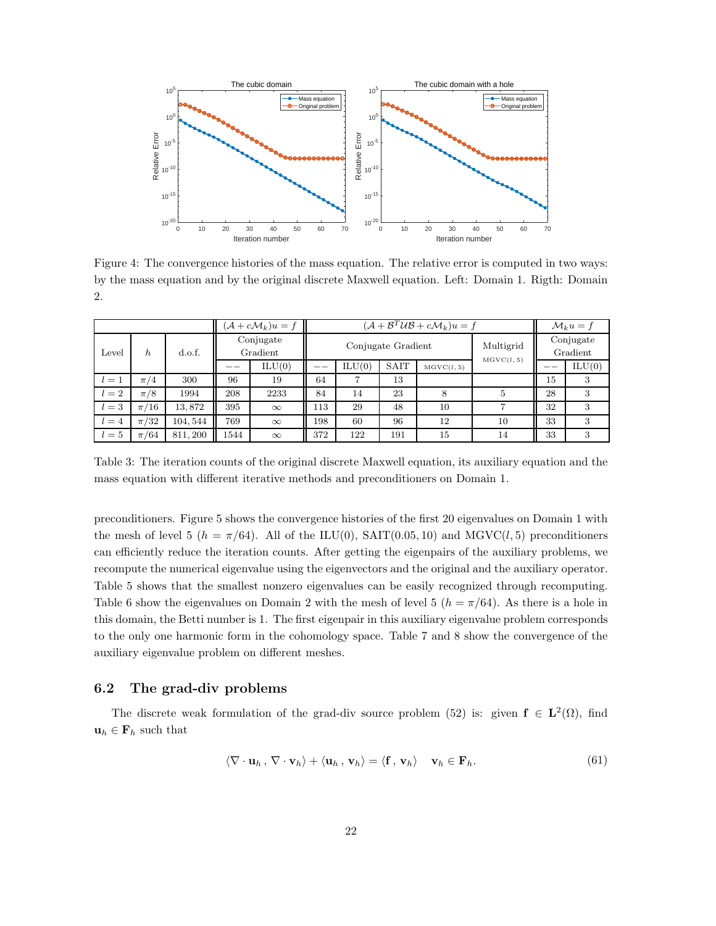

Figure 4: The convergence histories of the mass equation. The relative error is computed in two ways: by the mass equation and by the original discrete Maxwell equation. Left: Domain 1. Rigth: Domain 2.

|       |          |          |                       | $(\mathcal{A} + c\mathcal{M}_k)u = f$ |                                  | $(\mathcal{A} + \mathcal{B}^T \mathcal{U} \mathcal{B} + c \mathcal{M}_k) u = f$ |             |            |    | $\mathcal{M}_k u = f$ |        |
|-------|----------|----------|-----------------------|---------------------------------------|----------------------------------|---------------------------------------------------------------------------------|-------------|------------|----|-----------------------|--------|
| Level | $\hbar$  | d.o.f.   | Conjugate<br>Gradient |                                       | Conjugate Gradient<br>MGVC(l, 5) |                                                                                 |             | Multigrid  |    | Conjugate<br>Gradient |        |
|       |          |          |                       | ILU(0)                                |                                  | ILU(0)                                                                          | <b>SAIT</b> | MGVC(l, 5) |    |                       | ILU(0) |
| $l=1$ | $\pi/4$  | 300      | 96                    | 19                                    | 64                               | 7                                                                               | 13          |            |    | 15                    | 3      |
| $l=2$ | $\pi/8$  | 1994     | 208                   | 2233                                  | 84                               | 14                                                                              | 23          | 8          | 5  | 28                    | 3      |
| $l=3$ | $\pi/16$ | 13,872   | 395                   | $\infty$                              | 113                              | 29                                                                              | 48          | 10         |    | 32                    | 3      |
| $l=4$ | $\pi/32$ | 104, 544 | 769                   | $\infty$                              | 198                              | 60                                                                              | 96          | 12         | 10 | 33                    | 3      |
| $l=5$ | $\pi/64$ | 811, 200 | 1544                  | $\infty$                              | 372                              | 122                                                                             | 191         | 15         | 14 | 33                    | 3      |

Table 3: The iteration counts of the original discrete Maxwell equation, its auxiliary equation and the mass equation with different iterative methods and preconditioners on Domain 1.

preconditioners. Figure 5 shows the convergence histories of the first 20 eigenvalues on Domain 1 with the mesh of level 5 ( $h = \pi/64$ ). All of the ILU(0), SAIT(0.05, 10) and MGVC(l, 5) preconditioners can efficiently reduce the iteration counts. After getting the eigenpairs of the auxiliary problems, we recompute the numerical eigenvalue using the eigenvectors and the original and the auxiliary operator. Table 5 shows that the smallest nonzero eigenvalues can be easily recognized through recomputing. Table 6 show the eigenvalues on Domain 2 with the mesh of level 5  $(h = \pi/64)$ . As there is a hole in this domain, the Betti number is 1. The first eigenpair in this auxiliary eigenvalue problem corresponds to the only one harmonic form in the cohomology space. Table 7 and 8 show the convergence of the auxiliary eigenvalue problem on different meshes.

## 6.2 The grad-div problems

The discrete weak formulation of the grad-div source problem (52) is: given  $f \in L^2(\Omega)$ , find  $u_h \in F_h$  such that

$$
\langle \nabla \cdot \mathbf{u}_h, \nabla \cdot \mathbf{v}_h \rangle + \langle \mathbf{u}_h, \mathbf{v}_h \rangle = \langle \mathbf{f}, \mathbf{v}_h \rangle \quad \mathbf{v}_h \in \mathbf{F}_h. \tag{61}
$$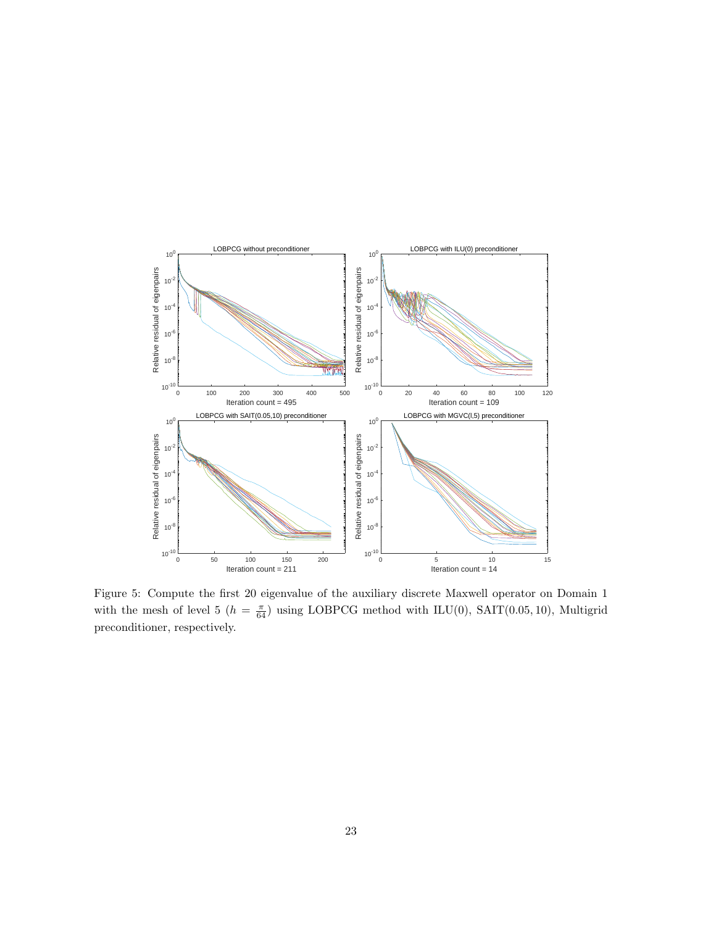

Figure 5: Compute the first 20 eigenvalue of the auxiliary discrete Maxwell operator on Domain 1 with the mesh of level 5 ( $h = \frac{\pi}{64}$ ) using LOBPCG method with ILU(0), SAIT(0.05, 10), Multigrid preconditioner, respectively.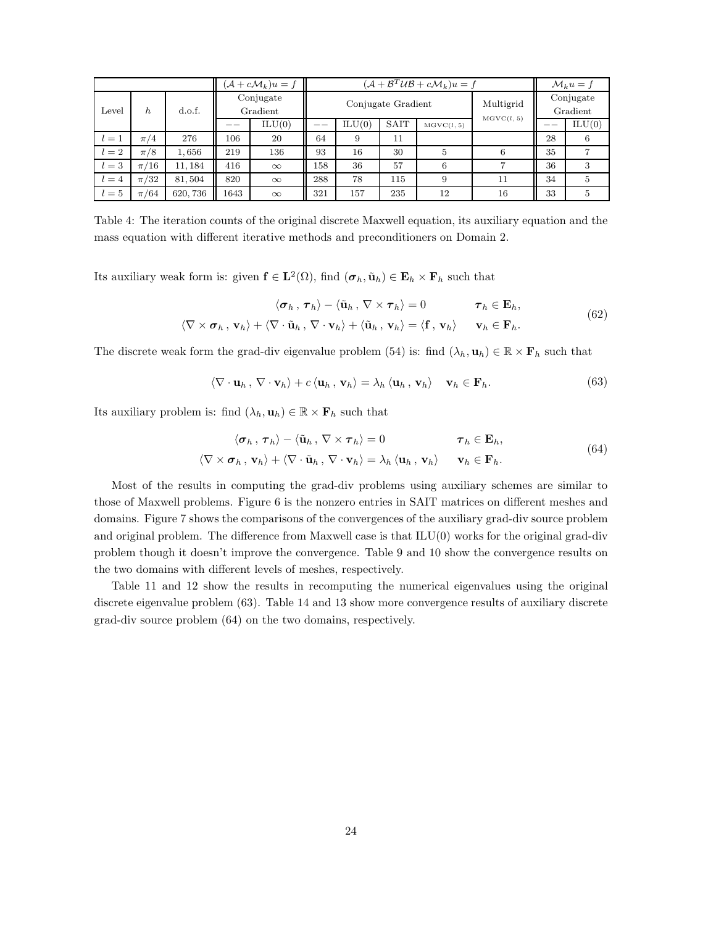|         |                         |          |                       | $(\mathcal{A} + c\mathcal{M}_k)u = f$ |                    | $(\mathcal{A} + \mathcal{B}^T \mathcal{U} \mathcal{B} + c \mathcal{M}_k) u = f$ |            |                         |    | $\mathcal{M}_k u = f$ |   |
|---------|-------------------------|----------|-----------------------|---------------------------------------|--------------------|---------------------------------------------------------------------------------|------------|-------------------------|----|-----------------------|---|
| Level   | h.                      | d.o.f.   | Conjugate<br>Gradient |                                       | Conjugate Gradient |                                                                                 |            | Multigrid<br>MGVC(l, 5) |    | Conjugate<br>Gradient |   |
|         |                         |          | ILU(0)                |                                       | ILU(0)             | <b>SAIT</b>                                                                     | MGVC(l, 5) |                         |    | ILU(0)                |   |
| $l=1$   | $\pi/4$                 | 276      | 106                   | 20                                    | 64                 | 9                                                                               | 11         |                         |    | 28                    | 6 |
| $l=2$   | $\pi/8$                 | 1,656    | 219                   | 136                                   | 93                 | 16                                                                              | 30         | 5                       | 6  | 35                    |   |
| $l=3$   | $^{\prime}16$<br>$\pi/$ | 11, 184  | 416                   | $\infty$                              | 158                | 36                                                                              | 57         | 6                       |    | 36                    |   |
| $l = 4$ | $\pi/32$                | 81,504   | 820                   | $\infty$                              | 288                | 78                                                                              | 115        | 9                       | 11 | 34                    | 5 |
| $l=5$   | $\pi/64$                | 620, 736 | 1643                  | $\infty$                              | 321                | 157                                                                             | 235        | 12                      | 16 | 33                    | 5 |

Table 4: The iteration counts of the original discrete Maxwell equation, its auxiliary equation and the mass equation with different iterative methods and preconditioners on Domain 2.

Its auxiliary weak form is: given  $f \in L^2(\Omega)$ , find  $(\sigma_h, \tilde{u}_h) \in E_h \times F_h$  such that

$$
\langle \sigma_h, \tau_h \rangle - \langle \tilde{\mathbf{u}}_h, \nabla \times \tau_h \rangle = 0 \qquad \tau_h \in \mathbf{E}_h,
$$
  

$$
\langle \nabla \times \sigma_h, \mathbf{v}_h \rangle + \langle \nabla \cdot \tilde{\mathbf{u}}_h, \nabla \cdot \mathbf{v}_h \rangle + \langle \tilde{\mathbf{u}}_h, \mathbf{v}_h \rangle = \langle \mathbf{f}, \mathbf{v}_h \rangle \qquad \mathbf{v}_h \in \mathbf{F}_h.
$$
 (62)

The discrete weak form the grad-div eigenvalue problem (54) is: find  $(\lambda_h, \mathbf{u}_h) \in \mathbb{R} \times \mathbf{F}_h$  such that

$$
\langle \nabla \cdot \mathbf{u}_h, \nabla \cdot \mathbf{v}_h \rangle + c \langle \mathbf{u}_h, \mathbf{v}_h \rangle = \lambda_h \langle \mathbf{u}_h, \mathbf{v}_h \rangle \quad \mathbf{v}_h \in \mathbf{F}_h. \tag{63}
$$

Its auxiliary problem is: find  $(\lambda_h, \mathbf{u}_h) \in \mathbb{R} \times \mathbf{F}_h$  such that

$$
\langle \sigma_h, \tau_h \rangle - \langle \tilde{\mathbf{u}}_h, \nabla \times \tau_h \rangle = 0 \qquad \qquad \tau_h \in \mathbf{E}_h,
$$
  

$$
\langle \nabla \times \sigma_h, \mathbf{v}_h \rangle + \langle \nabla \cdot \tilde{\mathbf{u}}_h, \nabla \cdot \mathbf{v}_h \rangle = \lambda_h \langle \mathbf{u}_h, \mathbf{v}_h \rangle \qquad \mathbf{v}_h \in \mathbf{F}_h.
$$
 (64)

Most of the results in computing the grad-div problems using auxiliary schemes are similar to those of Maxwell problems. Figure 6 is the nonzero entries in SAIT matrices on different meshes and domains. Figure 7 shows the comparisons of the convergences of the auxiliary grad-div source problem and original problem. The difference from Maxwell case is that ILU(0) works for the original grad-div problem though it doesn't improve the convergence. Table 9 and 10 show the convergence results on the two domains with different levels of meshes, respectively.

Table 11 and 12 show the results in recomputing the numerical eigenvalues using the original discrete eigenvalue problem (63). Table 14 and 13 show more convergence results of auxiliary discrete grad-div source problem (64) on the two domains, respectively.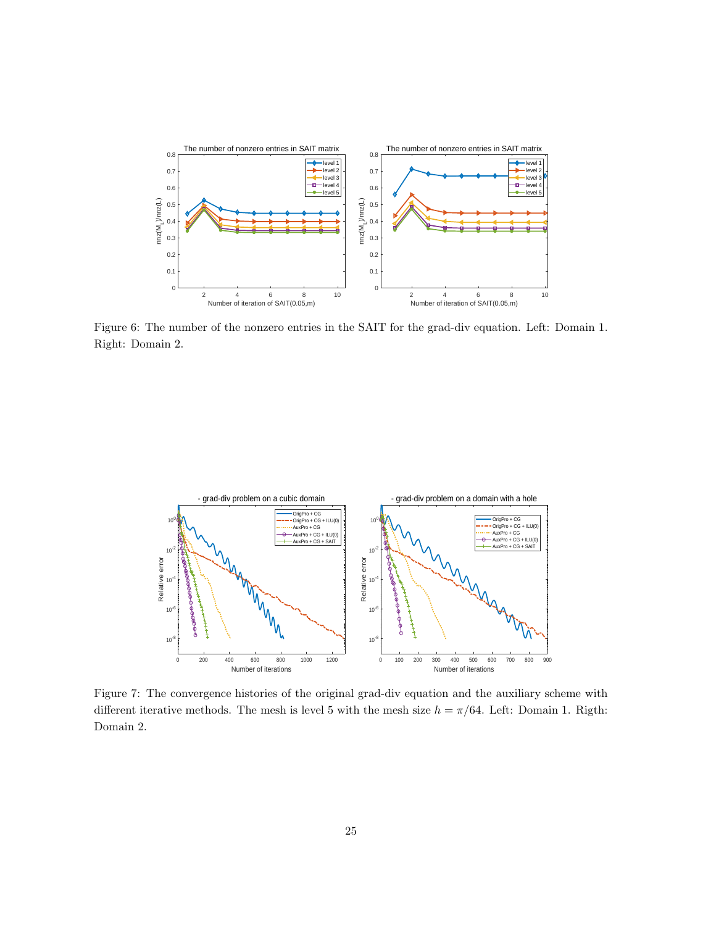

Figure 6: The number of the nonzero entries in the SAIT for the grad-div equation. Left: Domain 1. Right: Domain 2.



Figure 7: The convergence histories of the original grad-div equation and the auxiliary scheme with different iterative methods. The mesh is level 5 with the mesh size  $h = \pi/64$ . Left: Domain 1. Rigth: Domain 2.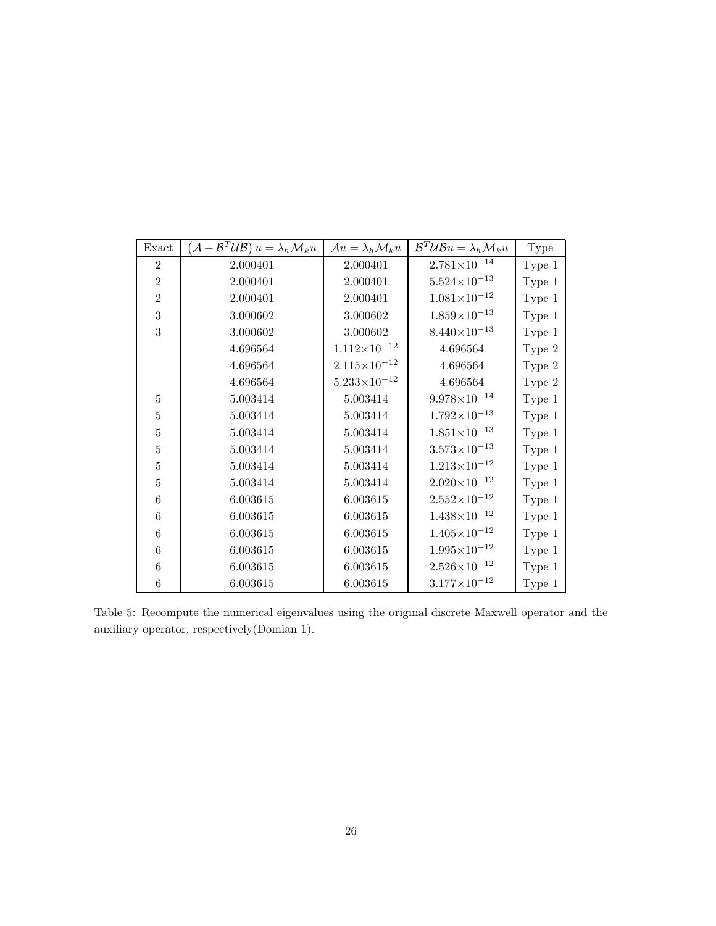| Exact          | $(\mathcal{A} + \mathcal{B}^T \mathcal{U} \mathcal{B}) u = \lambda_h \mathcal{M}_k u$ | $\mathcal{A}u = \lambda_h \mathcal{M}_k u$ | $\mathcal{B}^T \mathcal{U} \mathcal{B} u = \lambda_h \mathcal{M}_k u$ | Type   |
|----------------|---------------------------------------------------------------------------------------|--------------------------------------------|-----------------------------------------------------------------------|--------|
| $\overline{2}$ | 2.000401                                                                              | 2.000401                                   | $2.781{\times}10^{-14}$                                               | Type 1 |
| $\overline{2}$ | 2.000401                                                                              | 2.000401                                   | $5.524\times10^{-13}$                                                 | Type 1 |
| $\overline{2}$ | 2.000401                                                                              | 2.000401                                   | $1.081\times10^{-12}$                                                 | Type 1 |
| 3              | 3.000602                                                                              | 3.000602                                   | $1.859\times10^{-13}$                                                 | Type 1 |
| 3              | 3.000602                                                                              | 3.000602                                   | $8.440\times10^{-13}$                                                 | Type 1 |
|                | 4.696564                                                                              | $1.112\times10^{-12}$                      | 4.696564                                                              | Type 2 |
|                | 4.696564                                                                              | $2.115\times10^{-12}$                      | 4.696564                                                              | Type 2 |
|                | 4.696564                                                                              | $5.233 \times 10^{-12}$                    | 4.696564                                                              | Type 2 |
| 5              | 5.003414                                                                              | 5.003414                                   | $9.978 \times 10^{-14}$                                               | Type 1 |
| 5              | 5.003414                                                                              | 5.003414                                   | $1.792\times10^{-13}$                                                 | Type 1 |
| 5              | 5.003414                                                                              | 5.003414                                   | $1.851\times10^{-13}$                                                 | Type 1 |
| $\overline{5}$ | 5.003414                                                                              | 5.003414                                   | $3.573 \times 10^{-13}$                                               | Type 1 |
| 5              | 5.003414                                                                              | 5.003414                                   | $1.213\times10^{-12}$                                                 | Type 1 |
| 5              | 5.003414                                                                              | 5.003414                                   | $2.020\times10^{-12}$                                                 | Type 1 |
| 6              | 6.003615                                                                              | 6.003615                                   | $2.552\times10^{-12}$                                                 | Type 1 |
| 6              | 6.003615                                                                              | 6.003615                                   | $1.438\times10^{-12}$                                                 | Type 1 |
| 6              | 6.003615                                                                              | 6.003615                                   | $1.405 \times 10^{-12}$                                               | Type 1 |
| 6              | 6.003615                                                                              | 6.003615                                   | $1.995 \times 10^{-12}$                                               | Type 1 |
| 6              | 6.003615                                                                              | 6.003615                                   | $2.526 \times 10^{-12}$                                               | Type 1 |
| 6              | 6.003615                                                                              | 6.003615                                   | $3.177\times10^{-12}$                                                 | Type 1 |

Table 5: Recompute the numerical eigenvalues using the original discrete Maxwell operator and the auxiliary operator, respectively(Domian 1).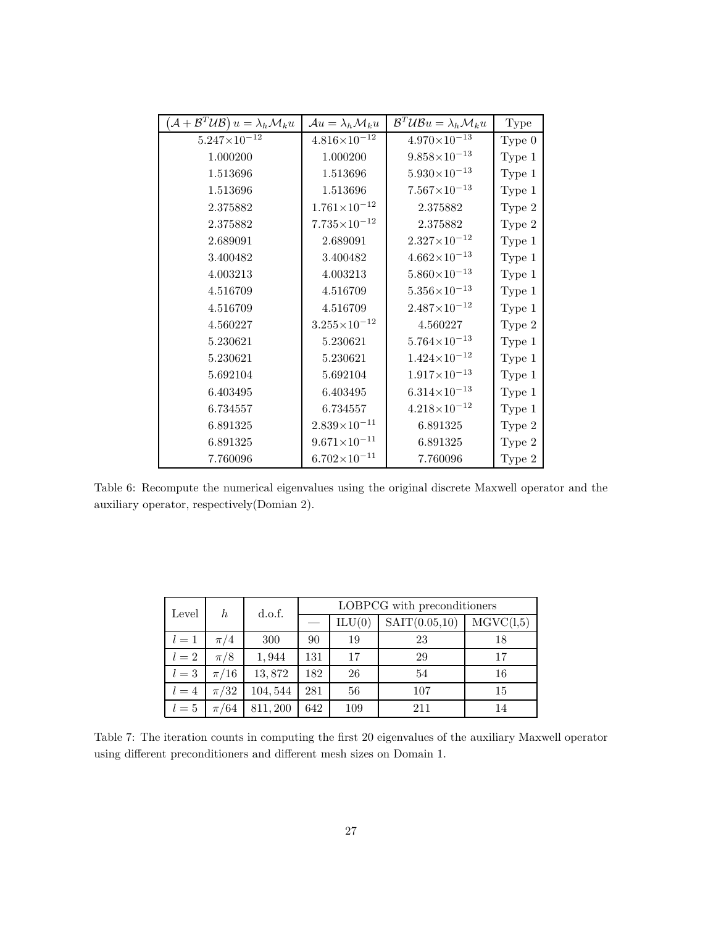| $(\mathcal{A} + \mathcal{B}^T \mathcal{U} \mathcal{B}) u = \lambda_h \mathcal{M}_k u$ | $\mathcal{A}u = \lambda_h \mathcal{M}_k u$ | $\mathcal{B}^T \mathcal{U} \mathcal{B} u = \lambda_h \mathcal{M}_k u$ | Type     |
|---------------------------------------------------------------------------------------|--------------------------------------------|-----------------------------------------------------------------------|----------|
| $5.247\times10^{-12}$                                                                 | $4.816\times10^{-12}$                      | $4.970\times10^{-13}$                                                 | Type $0$ |
| 1.000200                                                                              | 1.000200                                   | $9.858\times10^{-13}$                                                 | Type 1   |
| 1.513696                                                                              | 1.513696                                   | $5.930\times10^{-13}$                                                 | Type 1   |
| 1.513696                                                                              | 1.513696                                   | $7.567\times10^{-13}$                                                 | Type 1   |
| 2.375882                                                                              | $1.761\times10^{-12}$                      | 2.375882                                                              | Type 2   |
| 2.375882                                                                              | $7.735\times10^{-12}$                      | 2.375882                                                              | Type 2   |
| 2.689091                                                                              | 2.689091                                   | $2.327 \times 10^{-12}$                                               | Type 1   |
| 3.400482                                                                              | 3.400482                                   | $4.662\times10^{-13}$                                                 | Type 1   |
| 4.003213                                                                              | 4.003213                                   | $5.860\times10^{-13}$                                                 | Type 1   |
| 4.516709                                                                              | 4.516709                                   | $5.356\times10^{-13}$                                                 | Type 1   |
| 4.516709                                                                              | 4.516709                                   | $2.487\times10^{-12}$                                                 | Type 1   |
| 4.560227                                                                              | $3.255 \times 10^{-12}$                    | 4.560227                                                              | Type 2   |
| 5.230621                                                                              | 5.230621                                   | $5.764\times10^{-13}$                                                 | Type 1   |
| 5.230621                                                                              | 5.230621                                   | $1.424 \times 10^{-12}$                                               | Type 1   |
| 5.692104                                                                              | 5.692104                                   | $1.917\times10^{-13}$                                                 | Type 1   |
| 6.403495                                                                              | 6.403495                                   | $6.314\times10^{-13}$                                                 | Type 1   |
| 6.734557                                                                              | 6.734557                                   | $4.218\times10^{-12}$                                                 | Type 1   |
| 6.891325                                                                              | $2.839\times10^{-11}$                      | 6.891325                                                              | Type 2   |
| 6.891325                                                                              | $9.671\times10^{-11}$                      | 6.891325                                                              | Type 2   |
| 7.760096                                                                              | $6.702\times10^{-11}$                      | 7.760096                                                              | Type 2   |

Table 6: Recompute the numerical eigenvalues using the original discrete Maxwell operator and the auxiliary operator, respectively(Domian 2).

| Level   | $\hbar$  | d.o.f.   |     | LOBPCG with preconditioners |               |           |  |  |  |
|---------|----------|----------|-----|-----------------------------|---------------|-----------|--|--|--|
|         |          |          |     | ILU(0)                      | SAT(0.05, 10) | MGVC(1,5) |  |  |  |
| $l=1$   | $\pi/4$  | 300      | 90  | 19                          | 23            | 18        |  |  |  |
| $l=2$   | $\pi/8$  | 1,944    | 131 | 17                          | 29            | 17        |  |  |  |
| $l=3$   | $\pi/16$ | 13,872   | 182 | 26                          | 54            | 16        |  |  |  |
| $l = 4$ | $\pi/32$ | 104,544  | 281 | 56                          | 107           | 15        |  |  |  |
| $l=5$   | $\pi/64$ | 811, 200 | 642 | 109                         | 211           | 14        |  |  |  |

Table 7: The iteration counts in computing the first 20 eigenvalues of the auxiliary Maxwell operator using different preconditioners and different mesh sizes on Domain 1.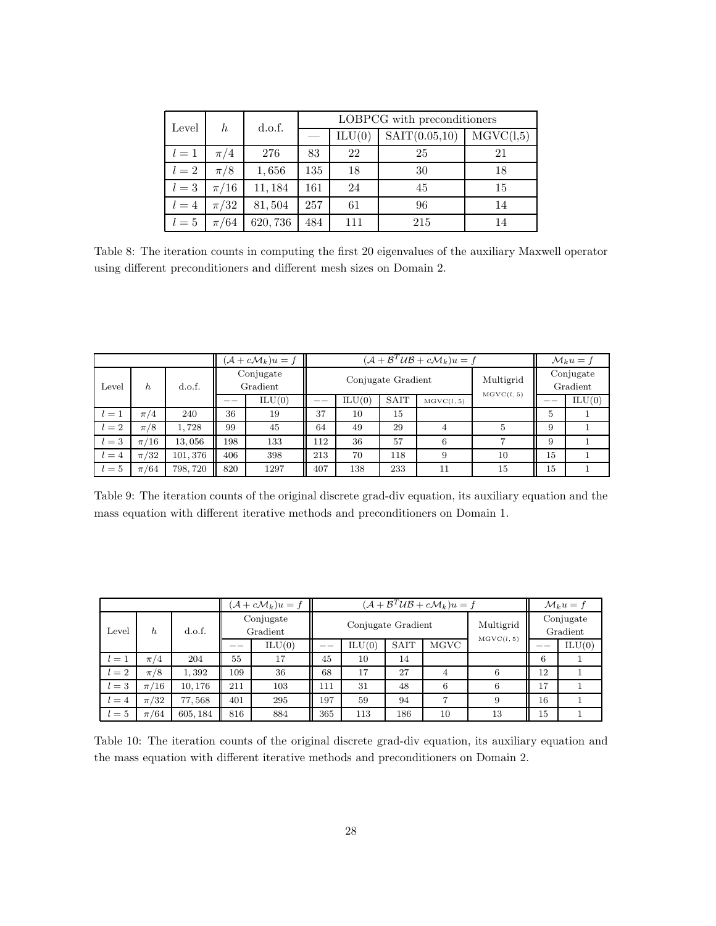| Level | h        | d.o.f.  |     | LOBPCG with preconditioners |               |           |  |  |  |
|-------|----------|---------|-----|-----------------------------|---------------|-----------|--|--|--|
|       |          |         |     | ILU(0)                      | SAT(0.05, 10) | MGVC(1,5) |  |  |  |
| $l=1$ | $\pi/4$  | 276     | 83  | 22                          | 25            | 21        |  |  |  |
| $l=2$ | $\pi/8$  | 1,656   | 135 | 18                          | 30            | 18        |  |  |  |
| $l=3$ | $\pi/16$ | 11,184  | 161 | 24                          | 45            | 15        |  |  |  |
| $l=4$ | $\pi/32$ | 81,504  | 257 | 61                          | 96            | 14        |  |  |  |
| $l=5$ | $\pi/64$ | 620,736 | 484 | 111                         | 215           | 14        |  |  |  |

Table 8: The iteration counts in computing the first 20 eigenvalues of the auxiliary Maxwell operator using different preconditioners and different mesh sizes on Domain 2.

|       |          |                                 |     | $(\mathcal{A} + c\mathcal{M}_k)u = f$ |                    | $(\mathcal{A} + \mathcal{B}^T \mathcal{U} \mathcal{B} + c \mathcal{M}_k) u = f$ |                         |                       |    |    | $\mathcal{M}_k u = f$ |
|-------|----------|---------------------------------|-----|---------------------------------------|--------------------|---------------------------------------------------------------------------------|-------------------------|-----------------------|----|----|-----------------------|
| Level | h.       | Conjugate<br>d.o.f.<br>Gradient |     |                                       | Conjugate Gradient |                                                                                 | Multigrid<br>MGVC(l, 5) | Conjugate<br>Gradient |    |    |                       |
|       |          |                                 |     | ILU(0)                                |                    | ILU(0)                                                                          | <b>SAIT</b>             | MGVC(l, 5)            |    |    | ILU(0)                |
| $l=1$ | $\pi/4$  | 240                             | 36  | 19                                    | 37                 | 10                                                                              | 15                      |                       |    | 5  |                       |
| $l=2$ | $\pi/8$  | .728                            | 99  | 45                                    | 64                 | 49                                                                              | 29                      |                       | 5  | 9  |                       |
| $l=3$ | $\pi/16$ | 13,056                          | 198 | 133                                   | 112                | 36                                                                              | 57                      | 6                     |    | 9  |                       |
| $l=4$ | $\pi/32$ | 101, 376                        | 406 | 398                                   | 213                | 70                                                                              | 118                     | 9                     | 10 | 15 |                       |
| $l=5$ | $\pi/64$ | 798, 720                        | 820 | 1297                                  | 407                | 138                                                                             | 233                     | 11                    | 15 | 15 |                       |

Table 9: The iteration counts of the original discrete grad-div equation, its auxiliary equation and the mass equation with different iterative methods and preconditioners on Domain 1.

|         |             |          |     | $(\mathcal{A} + c\mathcal{M}_k)u = f$ |                    |        |             | $(\mathcal{A} + \mathcal{B}^T \mathcal{U} \mathcal{B} + c \mathcal{M}_k) u = f$ |                       | $\mathcal{M}_k u = f$ |        |
|---------|-------------|----------|-----|---------------------------------------|--------------------|--------|-------------|---------------------------------------------------------------------------------|-----------------------|-----------------------|--------|
| Level   | h<br>d.o.f. |          |     | Conjugate<br>Gradient                 | Conjugate Gradient |        |             | Multigrid<br>MGVC(l, 5)                                                         | Conjugate<br>Gradient |                       |        |
|         |             |          |     | ILU(0)                                |                    | ILU(0) | <b>SAIT</b> | <b>MGVC</b>                                                                     |                       |                       | ILU(0) |
| $l=1$   | $\pi/4$     | 204      | 55  | 17                                    | 45                 | 10     | 14          |                                                                                 |                       | 6                     |        |
| $l=2$   | $\pi/8$     | 1,392    | 109 | 36                                    | 68                 | 17     | 27          | 4                                                                               | 6                     | 12                    |        |
| $l=3$   | $\pi/16$    | 10.176   | 211 | 103                                   | 111                | 31     | 48          | 6                                                                               | 6                     | 17                    |        |
| $l = 4$ | $\pi/32$    | 77,568   | 401 | 295                                   | 197                | 59     | 94          | ⇁                                                                               | 9                     | 16                    |        |
| $l=5$   | $\pi/64$    | 605, 184 | 816 | 884                                   | 365                | 113    | 186         | 10                                                                              | 13                    | 15                    |        |

Table 10: The iteration counts of the original discrete grad-div equation, its auxiliary equation and the mass equation with different iterative methods and preconditioners on Domain 2.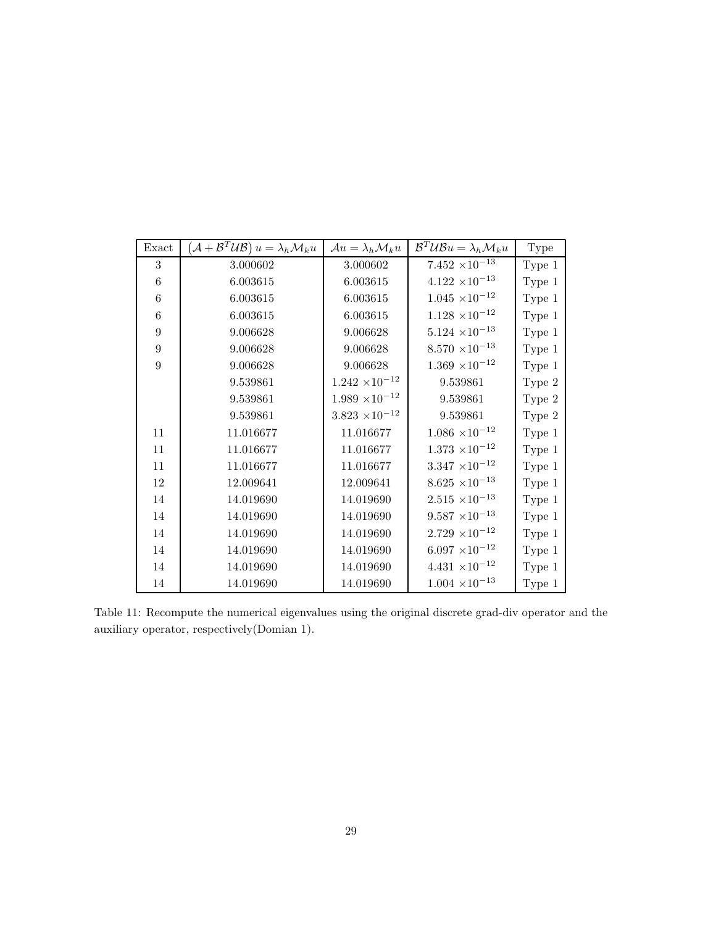| Exact           | $\left( \mathcal{A}+\mathcal{B}^{T}\mathcal{U}\mathcal{B}\right) u=\lambda_{h}\mathcal{M}_{k}u$ | $\mathcal{A}u = \lambda_h \mathcal{M}_k u$ | $\mathcal{B}^T \mathcal{U} \mathcal{B} u = \lambda_h \mathcal{M}_k u$ | <b>Type</b> |
|-----------------|-------------------------------------------------------------------------------------------------|--------------------------------------------|-----------------------------------------------------------------------|-------------|
| 3               | 3.000602                                                                                        | 3.000602                                   | $7.452 \times 10^{-13}$                                               | Type 1      |
| 6               | 6.003615                                                                                        | 6.003615                                   | $4.122 \times 10^{-13}$                                               | Type 1      |
| $6\phantom{.}6$ | 6.003615                                                                                        | 6.003615                                   | $1.045 \times 10^{-12}$                                               | Type 1      |
| 6               | 6.003615                                                                                        | 6.003615                                   | $1.128 \times 10^{-12}$                                               | Type 1      |
| 9               | 9.006628                                                                                        | 9.006628                                   | $5.124 \times 10^{-13}$                                               | Type 1      |
| 9               | 9.006628                                                                                        | 9.006628                                   | $8.570 \times 10^{-13}$                                               | Type 1      |
| 9               | 9.006628                                                                                        | 9.006628                                   | $1.369 \times 10^{-12}$                                               | Type 1      |
|                 | 9.539861                                                                                        | $1.242 \times 10^{-12}$                    | 9.539861                                                              | Type 2      |
|                 | 9.539861                                                                                        | $1.989 \times 10^{-12}$                    | 9.539861                                                              | Type 2      |
|                 | 9.539861                                                                                        | $3.823 \times 10^{-12}$                    | 9.539861                                                              | Type 2      |
| 11              | 11.016677                                                                                       | 11.016677                                  | $1.086 \times 10^{-12}$                                               | Type 1      |
| 11              | 11.016677                                                                                       | 11.016677                                  | $1.373 \times 10^{-12}$                                               | Type 1      |
| 11              | 11.016677                                                                                       | 11.016677                                  | $3.347 \times 10^{-12}$                                               | Type 1      |
| 12              | 12.009641                                                                                       | 12.009641                                  | $8.625 \times 10^{-13}$                                               | Type 1      |
| 14              | 14.019690                                                                                       | 14.019690                                  | $2.515 \times 10^{-13}$                                               | Type 1      |
| 14              | 14.019690                                                                                       | 14.019690                                  | $9.587 \times 10^{-13}$                                               | Type 1      |
| 14              | 14.019690                                                                                       | 14.019690                                  | $2.729 \times 10^{-12}$                                               | Type 1      |
| 14              | 14.019690                                                                                       | 14.019690                                  | $6.097 \times 10^{-12}$                                               | Type 1      |
| 14              | 14.019690                                                                                       | 14.019690                                  | $4.431 \times 10^{-12}$                                               | Type 1      |
| 14              | 14.019690                                                                                       | 14.019690                                  | $1.004 \times 10^{-13}$                                               | Type 1      |

Table 11: Recompute the numerical eigenvalues using the original discrete grad-div operator and the auxiliary operator, respectively(Domian 1).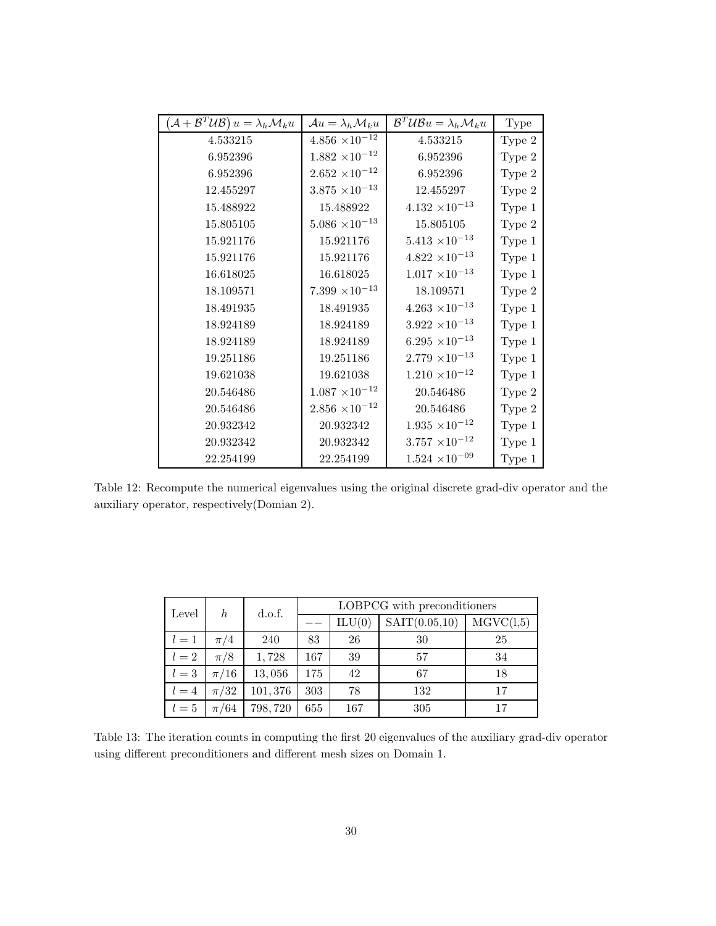| $(\mathcal{A} + \mathcal{B}^T \mathcal{U} \mathcal{B}) u = \lambda_h \mathcal{M}_k u$ | $\mathcal{A}u = \lambda_h \mathcal{M}_k u$ | $\mathcal{B}^T \mathcal{U} \mathcal{B} u = \lambda_h \mathcal{M}_k u$ | <b>Type</b> |
|---------------------------------------------------------------------------------------|--------------------------------------------|-----------------------------------------------------------------------|-------------|
| 4.533215                                                                              | $4.856 \times 10^{-12}$                    | 4.533215                                                              | Type 2      |
| 6.952396                                                                              | $1.882 \times 10^{-12}$                    | 6.952396                                                              | Type 2      |
| 6.952396                                                                              | $2.652\ \times\!10^{-12}$                  | 6.952396                                                              | Type 2      |
| 12.455297                                                                             | $3.875 \times 10^{-13}$                    | 12.455297                                                             | Type 2      |
| 15.488922                                                                             | 15.488922                                  | $4.132 \times 10^{-13}$                                               | Type 1      |
| 15.805105                                                                             | $5.086 \times 10^{-13}$                    | 15.805105                                                             | Type 2      |
| 15.921176                                                                             | 15.921176                                  | $5.413 \times 10^{-13}$                                               | Type 1      |
| 15.921176                                                                             | 15.921176                                  | $4.822 \times 10^{-13}$                                               | Type 1      |
| 16.618025                                                                             | 16.618025                                  | $1.017 \times 10^{-13}$                                               | Type 1      |
| 18.109571                                                                             | $7.399 \times 10^{-13}$                    | 18.109571                                                             | Type 2      |
| 18.491935                                                                             | 18.491935                                  | $4.263 \times 10^{-13}$                                               | Type 1      |
| 18.924189                                                                             | 18.924189                                  | $3.922 \times 10^{-13}$                                               | Type 1      |
| 18.924189                                                                             | 18.924189                                  | $6.295 \times 10^{-13}$                                               | Type 1      |
| 19.251186                                                                             | 19.251186                                  | $2.779 \times 10^{-13}$                                               | Type 1      |
| 19.621038                                                                             | 19.621038                                  | $1.210 \times 10^{-12}$                                               | Type 1      |
| 20.546486                                                                             | $1.087 \times 10^{-12}$                    | 20.546486                                                             | Type 2      |
| 20.546486                                                                             | $2.856 \times 10^{-12}$                    | 20.546486                                                             | Type 2      |
| 20.932342                                                                             | 20.932342                                  | $1.935 \times 10^{-12}$                                               | Type 1      |
| 20.932342                                                                             | 20.932342                                  | $3.757 \times 10^{-12}$                                               | Type 1      |
| 22.254199                                                                             | 22.254199                                  | $1.524 \times 10^{-09}$                                               | Type 1      |

Table 12: Recompute the numerical eigenvalues using the original discrete grad-div operator and the auxiliary operator, respectively(Domian 2).

| Level   | h        | d.o.f.  | LOBPCG with preconditioners |        |               |           |
|---------|----------|---------|-----------------------------|--------|---------------|-----------|
|         |          |         |                             | ILU(0) | SAT(0.05, 10) | MGVC(1,5) |
| $l=1$   | $\pi/4$  | 240     | 83                          | 26     | 30            | 25        |
| $l=2$   | $\pi/8$  | 1,728   | 167                         | 39     | 57            | 34        |
| $l=3$   | $\pi/16$ | 13,056  | 175                         | 42     | 67            | 18        |
| $l = 4$ | $\pi/32$ | 101,376 | 303                         | 78     | 132           | 17        |
| $l=5$   | $\pi/64$ | 798,720 | 655                         | 167    | 305           | 17        |

Table 13: The iteration counts in computing the first 20 eigenvalues of the auxiliary grad-div operator using different preconditioners and different mesh sizes on Domain 1.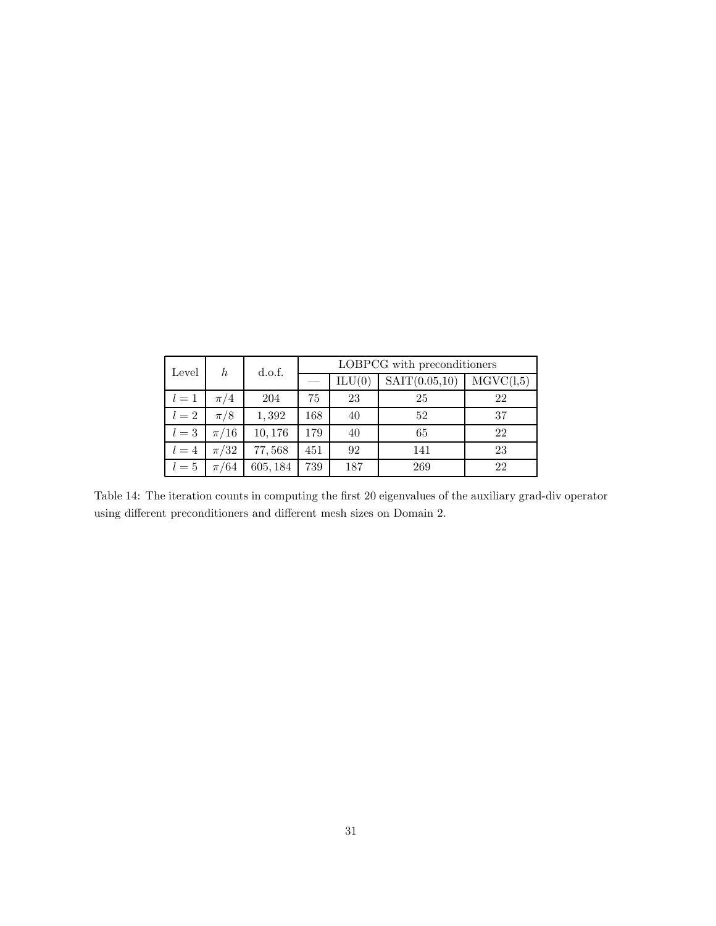| Level   | h        | d.o.f.   | LOBPCG with preconditioners |        |               |           |
|---------|----------|----------|-----------------------------|--------|---------------|-----------|
|         |          |          |                             | ILU(0) | SAT(0.05, 10) | MGVC(1,5) |
| $l=1$   | $\pi/4$  | 204      | 75                          | 23     | 25            | 22        |
| $l=2$   | $\pi/8$  | 1,392    | 168                         | 40     | 52            | 37        |
| $l=3$   | $\pi/16$ | 10,176   | 179                         | 40     | 65            | 22        |
| $l = 4$ | $\pi/32$ | 77,568   | 451                         | 92     | 141           | 23        |
| $l=5$   | $\pi/64$ | 605, 184 | 739                         | 187    | 269           | 22        |

Table 14: The iteration counts in computing the first 20 eigenvalues of the auxiliary grad-div operator using different preconditioners and different mesh sizes on Domain 2.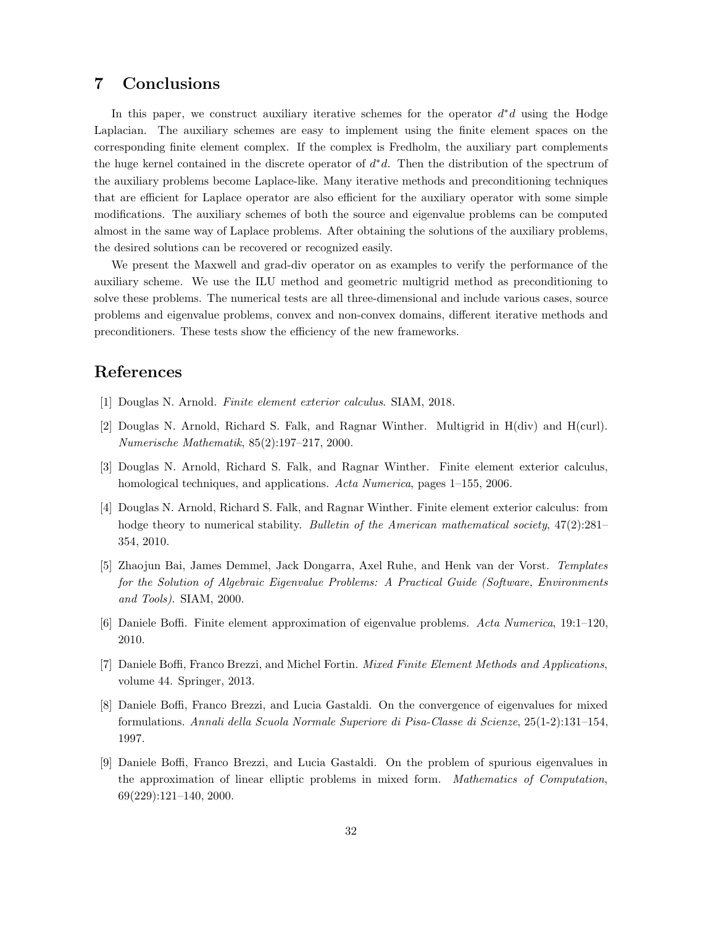# 7 Conclusions

In this paper, we construct auxiliary iterative schemes for the operator  $d^*d$  using the Hodge Laplacian. The auxiliary schemes are easy to implement using the finite element spaces on the corresponding finite element complex. If the complex is Fredholm, the auxiliary part complements the huge kernel contained in the discrete operator of  $d^*d$ . Then the distribution of the spectrum of the auxiliary problems become Laplace-like. Many iterative methods and preconditioning techniques that are efficient for Laplace operator are also efficient for the auxiliary operator with some simple modifications. The auxiliary schemes of both the source and eigenvalue problems can be computed almost in the same way of Laplace problems. After obtaining the solutions of the auxiliary problems, the desired solutions can be recovered or recognized easily.

We present the Maxwell and grad-div operator on as examples to verify the performance of the auxiliary scheme. We use the ILU method and geometric multigrid method as preconditioning to solve these problems. The numerical tests are all three-dimensional and include various cases, source problems and eigenvalue problems, convex and non-convex domains, different iterative methods and preconditioners. These tests show the efficiency of the new frameworks.

## References

- [1] Douglas N. Arnold. *Finite element exterior calculus*. SIAM, 2018.
- [2] Douglas N. Arnold, Richard S. Falk, and Ragnar Winther. Multigrid in H(div) and H(curl). *Numerische Mathematik*, 85(2):197–217, 2000.
- [3] Douglas N. Arnold, Richard S. Falk, and Ragnar Winther. Finite element exterior calculus, homological techniques, and applications. *Acta Numerica*, pages 1–155, 2006.
- [4] Douglas N. Arnold, Richard S. Falk, and Ragnar Winther. Finite element exterior calculus: from hodge theory to numerical stability. *Bulletin of the American mathematical society*, 47(2):281– 354, 2010.
- [5] Zhaojun Bai, James Demmel, Jack Dongarra, Axel Ruhe, and Henk van der Vorst. *Templates for the Solution of Algebraic Eigenvalue Problems: A Practical Guide (Software, Environments and Tools)*. SIAM, 2000.
- [6] Daniele Boffi. Finite element approximation of eigenvalue problems. *Acta Numerica*, 19:1–120, 2010.
- [7] Daniele Boffi, Franco Brezzi, and Michel Fortin. *Mixed Finite Element Methods and Applications*, volume 44. Springer, 2013.
- [8] Daniele Boffi, Franco Brezzi, and Lucia Gastaldi. On the convergence of eigenvalues for mixed formulations. *Annali della Scuola Normale Superiore di Pisa-Classe di Scienze*, 25(1-2):131–154, 1997.
- [9] Daniele Boffi, Franco Brezzi, and Lucia Gastaldi. On the problem of spurious eigenvalues in the approximation of linear elliptic problems in mixed form. *Mathematics of Computation*, 69(229):121–140, 2000.